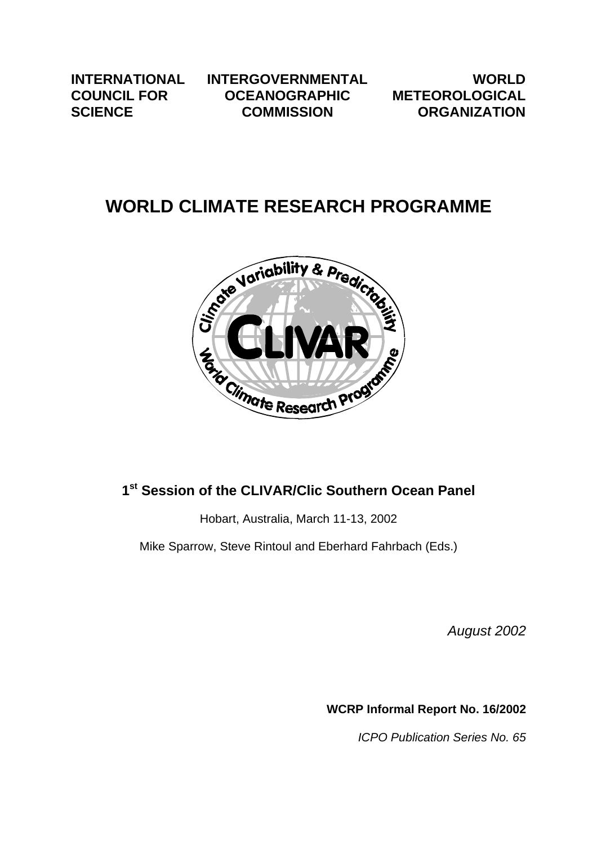**INTERNATIONAL COUNCIL FOR SCIENCE**

**INTERGOVERNMENTAL OCEANOGRAPHIC COMMISSION**

**WORLD METEOROLOGICAL ORGANIZATION**

# **WORLD CLIMATE RESEARCH PROGRAMME**



# **1st Session of the CLIVAR/Clic Southern Ocean Panel**

Hobart, Australia, March 11-13, 2002

Mike Sparrow, Steve Rintoul and Eberhard Fahrbach (Eds.)

*August 2002*

**WCRP Informal Report No. 16/2002**

*ICPO Publication Series No. 65*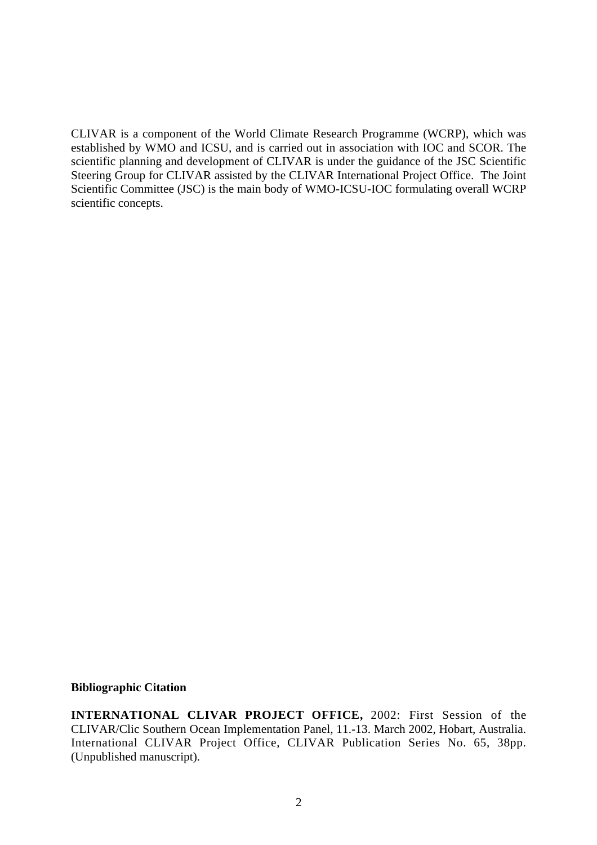CLIVAR is a component of the World Climate Research Programme (WCRP), which was established by WMO and ICSU, and is carried out in association with IOC and SCOR. The scientific planning and development of CLIVAR is under the guidance of the JSC Scientific Steering Group for CLIVAR assisted by the CLIVAR International Project Office. The Joint Scientific Committee (JSC) is the main body of WMO-ICSU-IOC formulating overall WCRP scientific concepts.

#### **Bibliographic Citation**

**INTERNATIONAL CLIVAR PROJECT OFFICE,** 2002: First Session of the CLIVAR/Clic Southern Ocean Implementation Panel, 11.-13. March 2002, Hobart, Australia. International CLIVAR Project Office, CLIVAR Publication Series No. 65, 38pp. (Unpublished manuscript).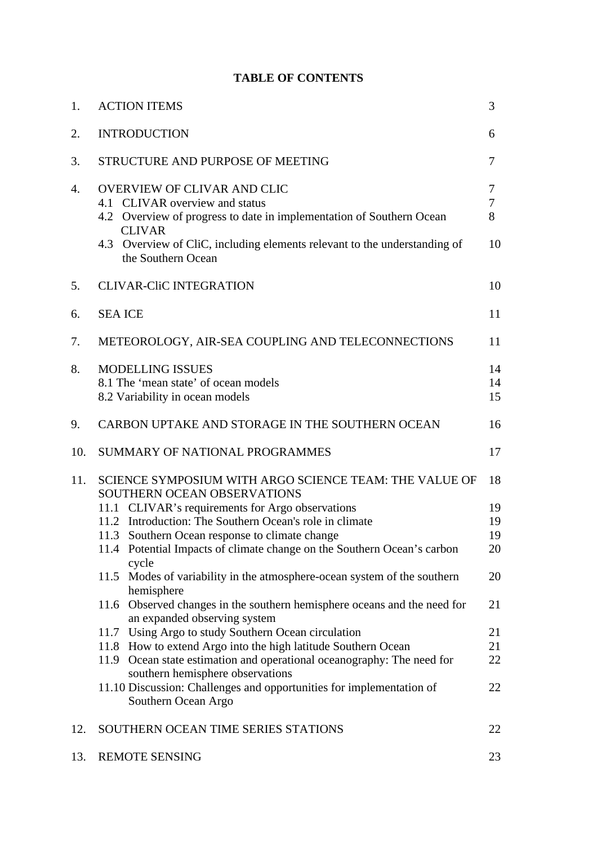# **TABLE OF CONTENTS**

| 1.  | <b>ACTION ITEMS</b>                                                                                                                                                                                                                                                                                                                                                                                                                                                                                                                                                                                                                                                                                                                                                                                                                                                                   | 3                                                              |
|-----|---------------------------------------------------------------------------------------------------------------------------------------------------------------------------------------------------------------------------------------------------------------------------------------------------------------------------------------------------------------------------------------------------------------------------------------------------------------------------------------------------------------------------------------------------------------------------------------------------------------------------------------------------------------------------------------------------------------------------------------------------------------------------------------------------------------------------------------------------------------------------------------|----------------------------------------------------------------|
| 2.  | <b>INTRODUCTION</b>                                                                                                                                                                                                                                                                                                                                                                                                                                                                                                                                                                                                                                                                                                                                                                                                                                                                   | 6                                                              |
| 3.  | STRUCTURE AND PURPOSE OF MEETING                                                                                                                                                                                                                                                                                                                                                                                                                                                                                                                                                                                                                                                                                                                                                                                                                                                      | 7                                                              |
| 4.  | OVERVIEW OF CLIVAR AND CLIC<br>4.1 CLIVAR overview and status<br>4.2 Overview of progress to date in implementation of Southern Ocean<br><b>CLIVAR</b><br>4.3 Overview of CliC, including elements relevant to the understanding of<br>the Southern Ocean                                                                                                                                                                                                                                                                                                                                                                                                                                                                                                                                                                                                                             | 7<br>7<br>8<br>10                                              |
| 5.  | <b>CLIVAR-CliC INTEGRATION</b>                                                                                                                                                                                                                                                                                                                                                                                                                                                                                                                                                                                                                                                                                                                                                                                                                                                        | 10                                                             |
| 6.  | <b>SEA ICE</b>                                                                                                                                                                                                                                                                                                                                                                                                                                                                                                                                                                                                                                                                                                                                                                                                                                                                        | 11                                                             |
| 7.  | METEOROLOGY, AIR-SEA COUPLING AND TELECONNECTIONS                                                                                                                                                                                                                                                                                                                                                                                                                                                                                                                                                                                                                                                                                                                                                                                                                                     | 11                                                             |
| 8.  | <b>MODELLING ISSUES</b><br>8.1 The 'mean state' of ocean models<br>8.2 Variability in ocean models                                                                                                                                                                                                                                                                                                                                                                                                                                                                                                                                                                                                                                                                                                                                                                                    | 14<br>14<br>15                                                 |
| 9.  | CARBON UPTAKE AND STORAGE IN THE SOUTHERN OCEAN                                                                                                                                                                                                                                                                                                                                                                                                                                                                                                                                                                                                                                                                                                                                                                                                                                       | 16                                                             |
| 10. | SUMMARY OF NATIONAL PROGRAMMES                                                                                                                                                                                                                                                                                                                                                                                                                                                                                                                                                                                                                                                                                                                                                                                                                                                        | 17                                                             |
| 11. | SCIENCE SYMPOSIUM WITH ARGO SCIENCE TEAM: THE VALUE OF<br>SOUTHERN OCEAN OBSERVATIONS<br>11.1 CLIVAR's requirements for Argo observations<br>11.2 Introduction: The Southern Ocean's role in climate<br>11.3 Southern Ocean response to climate change<br>11.4 Potential Impacts of climate change on the Southern Ocean's carbon<br>cycle<br>11.5 Modes of variability in the atmosphere-ocean system of the southern<br>hemisphere<br>11.6 Observed changes in the southern hemisphere oceans and the need for<br>an expanded observing system<br>11.7 Using Argo to study Southern Ocean circulation<br>11.8 How to extend Argo into the high latitude Southern Ocean<br>11.9 Ocean state estimation and operational oceanography: The need for<br>southern hemisphere observations<br>11.10 Discussion: Challenges and opportunities for implementation of<br>Southern Ocean Argo | 18<br>19<br>19<br>19<br>20<br>20<br>21<br>21<br>21<br>22<br>22 |
| 12. | SOUTHERN OCEAN TIME SERIES STATIONS                                                                                                                                                                                                                                                                                                                                                                                                                                                                                                                                                                                                                                                                                                                                                                                                                                                   | 22                                                             |
| 13. | <b>REMOTE SENSING</b>                                                                                                                                                                                                                                                                                                                                                                                                                                                                                                                                                                                                                                                                                                                                                                                                                                                                 | 23                                                             |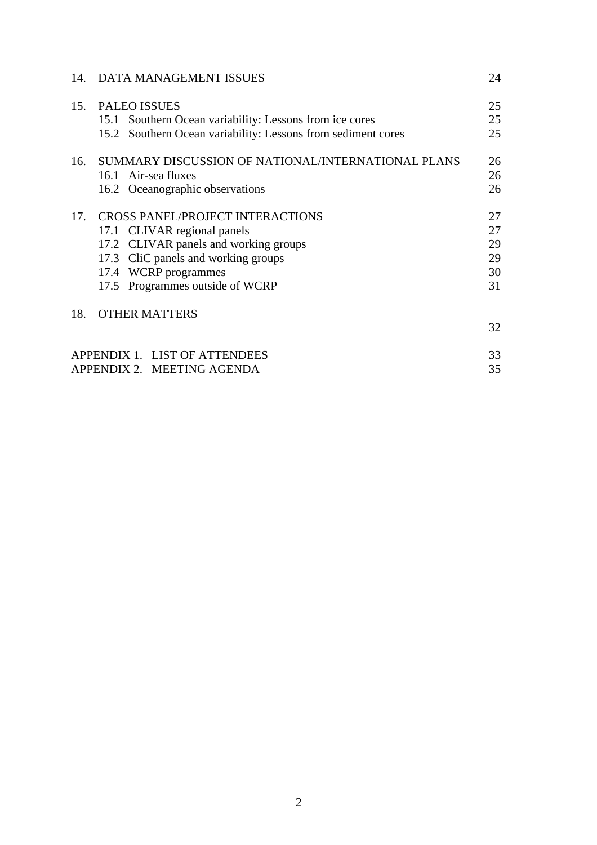| 14. | DATA MANAGEMENT ISSUES                                       | 24 |
|-----|--------------------------------------------------------------|----|
| 15. | <b>PALEO ISSUES</b>                                          | 25 |
|     | 15.1 Southern Ocean variability: Lessons from ice cores      | 25 |
|     | 15.2 Southern Ocean variability: Lessons from sediment cores | 25 |
| 16. | SUMMARY DISCUSSION OF NATIONAL/INTERNATIONAL PLANS           | 26 |
|     | 16.1 Air-sea fluxes                                          | 26 |
|     | 16.2 Oceanographic observations                              | 26 |
| 17. | <b>CROSS PANEL/PROJECT INTERACTIONS</b>                      | 27 |
|     | 17.1 CLIVAR regional panels                                  | 27 |
|     | 17.2 CLIVAR panels and working groups                        | 29 |
|     | 17.3 CliC panels and working groups                          | 29 |
|     | 17.4 WCRP programmes                                         | 30 |
|     | 17.5 Programmes outside of WCRP                              | 31 |
| 18. | <b>OTHER MATTERS</b>                                         |    |
|     |                                                              | 32 |
|     | APPENDIX 1. LIST OF ATTENDEES                                | 33 |
|     | APPENDIX 2. MEETING AGENDA                                   | 35 |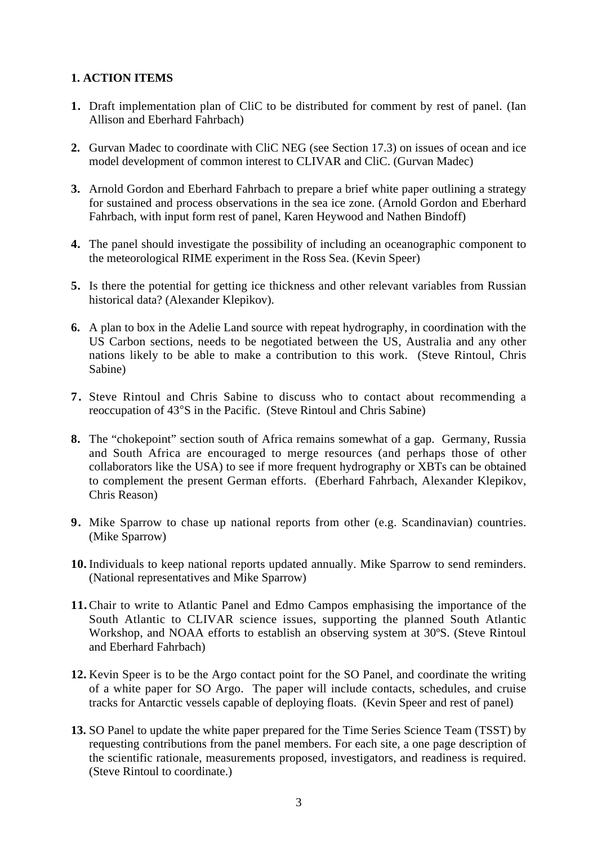# **1. ACTION ITEMS**

- **1.** Draft implementation plan of CliC to be distributed for comment by rest of panel. (Ian Allison and Eberhard Fahrbach)
- **2.** Gurvan Madec to coordinate with CliC NEG (see Section 17.3) on issues of ocean and ice model development of common interest to CLIVAR and CliC. (Gurvan Madec)
- **3.** Arnold Gordon and Eberhard Fahrbach to prepare a brief white paper outlining a strategy for sustained and process observations in the sea ice zone. (Arnold Gordon and Eberhard Fahrbach, with input form rest of panel, Karen Heywood and Nathen Bindoff)
- **4.** The panel should investigate the possibility of including an oceanographic component to the meteorological RIME experiment in the Ross Sea. (Kevin Speer)
- **5.** Is there the potential for getting ice thickness and other relevant variables from Russian historical data? (Alexander Klepikov).
- **6.** A plan to box in the Adelie Land source with repeat hydrography, in coordination with the US Carbon sections, needs to be negotiated between the US, Australia and any other nations likely to be able to make a contribution to this work. (Steve Rintoul, Chris Sabine)
- **7.** Steve Rintoul and Chris Sabine to discuss who to contact about recommending a reoccupation of 43°S in the Pacific. (Steve Rintoul and Chris Sabine)
- **8.** The "chokepoint" section south of Africa remains somewhat of a gap. Germany, Russia and South Africa are encouraged to merge resources (and perhaps those of other collaborators like the USA) to see if more frequent hydrography or XBTs can be obtained to complement the present German efforts. (Eberhard Fahrbach, Alexander Klepikov, Chris Reason)
- **9.** Mike Sparrow to chase up national reports from other (e.g. Scandinavian) countries. (Mike Sparrow)
- **10.** Individuals to keep national reports updated annually. Mike Sparrow to send reminders. (National representatives and Mike Sparrow)
- **11.** Chair to write to Atlantic Panel and Edmo Campos emphasising the importance of the South Atlantic to CLIVAR science issues, supporting the planned South Atlantic Workshop, and NOAA efforts to establish an observing system at 30ºS. (Steve Rintoul and Eberhard Fahrbach)
- **12.** Kevin Speer is to be the Argo contact point for the SO Panel, and coordinate the writing of a white paper for SO Argo. The paper will include contacts, schedules, and cruise tracks for Antarctic vessels capable of deploying floats. (Kevin Speer and rest of panel)
- **13.** SO Panel to update the white paper prepared for the Time Series Science Team (TSST) by requesting contributions from the panel members. For each site, a one page description of the scientific rationale, measurements proposed, investigators, and readiness is required. (Steve Rintoul to coordinate.)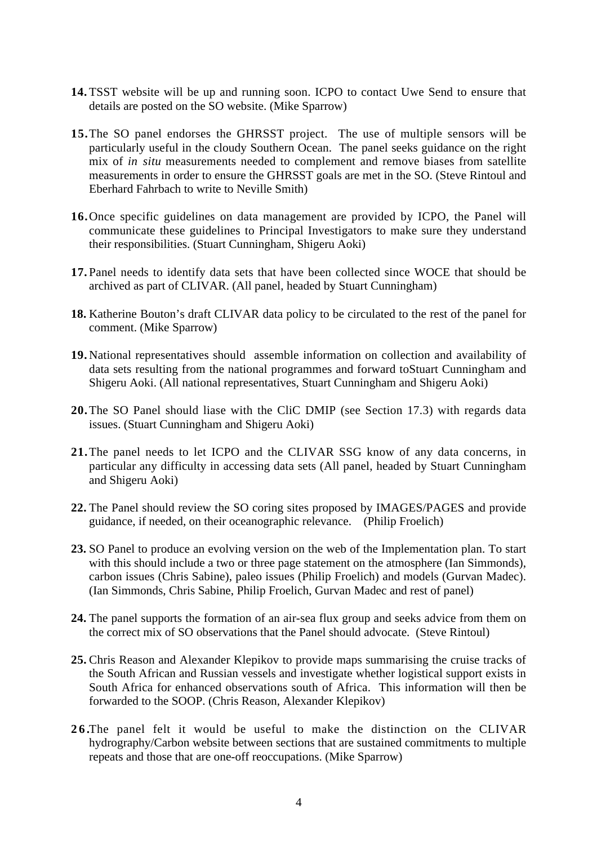- **14.** TSST website will be up and running soon. ICPO to contact Uwe Send to ensure that details are posted on the SO website. (Mike Sparrow)
- **15.**The SO panel endorses the GHRSST project. The use of multiple sensors will be particularly useful in the cloudy Southern Ocean. The panel seeks guidance on the right mix of *in situ* measurements needed to complement and remove biases from satellite measurements in order to ensure the GHRSST goals are met in the SO. (Steve Rintoul and Eberhard Fahrbach to write to Neville Smith)
- **16.**Once specific guidelines on data management are provided by ICPO, the Panel will communicate these guidelines to Principal Investigators to make sure they understand their responsibilities. (Stuart Cunningham, Shigeru Aoki)
- **17.** Panel needs to identify data sets that have been collected since WOCE that should be archived as part of CLIVAR. (All panel, headed by Stuart Cunningham)
- **18.** Katherine Bouton's draft CLIVAR data policy to be circulated to the rest of the panel for comment. (Mike Sparrow)
- **19.** National representatives should assemble information on collection and availability of data sets resulting from the national programmes and forward toStuart Cunningham and Shigeru Aoki. (All national representatives, Stuart Cunningham and Shigeru Aoki)
- **20.**The SO Panel should liase with the CliC DMIP (see Section 17.3) with regards data issues. (Stuart Cunningham and Shigeru Aoki)
- **21.**The panel needs to let ICPO and the CLIVAR SSG know of any data concerns, in particular any difficulty in accessing data sets (All panel, headed by Stuart Cunningham and Shigeru Aoki)
- **22.** The Panel should review the SO coring sites proposed by IMAGES/PAGES and provide guidance, if needed, on their oceanographic relevance. (Philip Froelich)
- **23.** SO Panel to produce an evolving version on the web of the Implementation plan. To start with this should include a two or three page statement on the atmosphere (Ian Simmonds), carbon issues (Chris Sabine), paleo issues (Philip Froelich) and models (Gurvan Madec). (Ian Simmonds, Chris Sabine, Philip Froelich, Gurvan Madec and rest of panel)
- **24.** The panel supports the formation of an air-sea flux group and seeks advice from them on the correct mix of SO observations that the Panel should advocate. (Steve Rintoul)
- **25.** Chris Reason and Alexander Klepikov to provide maps summarising the cruise tracks of the South African and Russian vessels and investigate whether logistical support exists in South Africa for enhanced observations south of Africa. This information will then be forwarded to the SOOP. (Chris Reason, Alexander Klepikov)
- **26.**The panel felt it would be useful to make the distinction on the CLIVAR hydrography/Carbon website between sections that are sustained commitments to multiple repeats and those that are one-off reoccupations. (Mike Sparrow)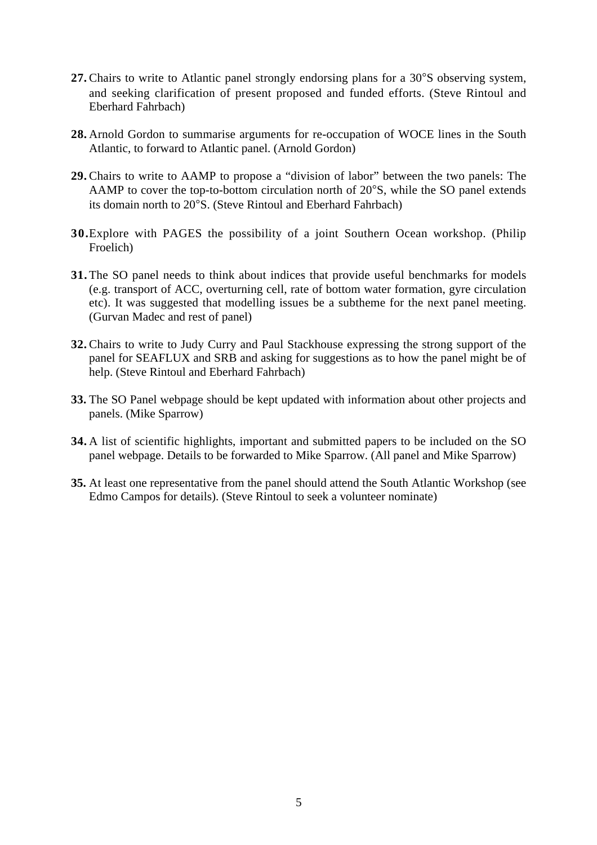- **27.** Chairs to write to Atlantic panel strongly endorsing plans for a 30°S observing system, and seeking clarification of present proposed and funded efforts. (Steve Rintoul and Eberhard Fahrbach)
- **28.** Arnold Gordon to summarise arguments for re-occupation of WOCE lines in the South Atlantic, to forward to Atlantic panel. (Arnold Gordon)
- **29.** Chairs to write to AAMP to propose a "division of labor" between the two panels: The AAMP to cover the top-to-bottom circulation north of 20°S, while the SO panel extends its domain north to 20°S. (Steve Rintoul and Eberhard Fahrbach)
- **30.**Explore with PAGES the possibility of a joint Southern Ocean workshop. (Philip Froelich)
- **31.** The SO panel needs to think about indices that provide useful benchmarks for models (e.g. transport of ACC, overturning cell, rate of bottom water formation, gyre circulation etc). It was suggested that modelling issues be a subtheme for the next panel meeting. (Gurvan Madec and rest of panel)
- **32.** Chairs to write to Judy Curry and Paul Stackhouse expressing the strong support of the panel for SEAFLUX and SRB and asking for suggestions as to how the panel might be of help. (Steve Rintoul and Eberhard Fahrbach)
- **33.** The SO Panel webpage should be kept updated with information about other projects and panels. (Mike Sparrow)
- **34.** A list of scientific highlights, important and submitted papers to be included on the SO panel webpage. Details to be forwarded to Mike Sparrow. (All panel and Mike Sparrow)
- **35.** At least one representative from the panel should attend the South Atlantic Workshop (see Edmo Campos for details). (Steve Rintoul to seek a volunteer nominate)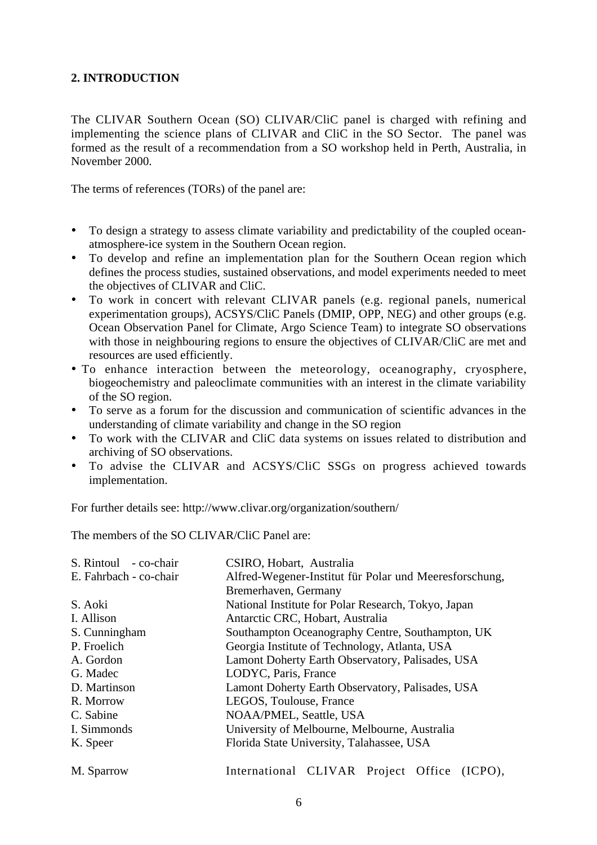# **2. INTRODUCTION**

The CLIVAR Southern Ocean (SO) CLIVAR/CliC panel is charged with refining and implementing the science plans of CLIVAR and CliC in the SO Sector. The panel was formed as the result of a recommendation from a SO workshop held in Perth, Australia, in November 2000.

The terms of references (TORs) of the panel are:

- To design a strategy to assess climate variability and predictability of the coupled oceanatmosphere-ice system in the Southern Ocean region.
- To develop and refine an implementation plan for the Southern Ocean region which defines the process studies, sustained observations, and model experiments needed to meet the objectives of CLIVAR and CliC.
- To work in concert with relevant CLIVAR panels (e.g. regional panels, numerical experimentation groups), ACSYS/CliC Panels (DMIP, OPP, NEG) and other groups (e.g. Ocean Observation Panel for Climate, Argo Science Team) to integrate SO observations with those in neighbouring regions to ensure the objectives of CLIVAR/CliC are met and resources are used efficiently.
- To enhance interaction between the meteorology, oceanography, cryosphere, biogeochemistry and paleoclimate communities with an interest in the climate variability of the SO region.
- To serve as a forum for the discussion and communication of scientific advances in the understanding of climate variability and change in the SO region
- To work with the CLIVAR and CliC data systems on issues related to distribution and archiving of SO observations.
- To advise the CLIVAR and ACSYS/CliC SSGs on progress achieved towards implementation.

For further details see: http://www.clivar.org/organization/southern/

The members of the SO CLIVAR/CliC Panel are:

| S. Rintoul - co-chair  | CSIRO, Hobart, Australia                               |
|------------------------|--------------------------------------------------------|
| E. Fahrbach - co-chair | Alfred-Wegener-Institut für Polar und Meeresforschung, |
|                        | Bremerhaven, Germany                                   |
| S. Aoki                | National Institute for Polar Research, Tokyo, Japan    |
| I. Allison             | Antarctic CRC, Hobart, Australia                       |
| S. Cunningham          | Southampton Oceanography Centre, Southampton, UK       |
| P. Froelich            | Georgia Institute of Technology, Atlanta, USA          |
| A. Gordon              | Lamont Doherty Earth Observatory, Palisades, USA       |
| G. Madec               | LODYC, Paris, France                                   |
| D. Martinson           | Lamont Doherty Earth Observatory, Palisades, USA       |
| R. Morrow              | LEGOS, Toulouse, France                                |
| C. Sabine              | NOAA/PMEL, Seattle, USA                                |
| I. Simmonds            | University of Melbourne, Melbourne, Australia          |
| K. Speer               | Florida State University, Talahassee, USA              |
| M. Sparrow             | International CLIVAR Project Office (ICPO),            |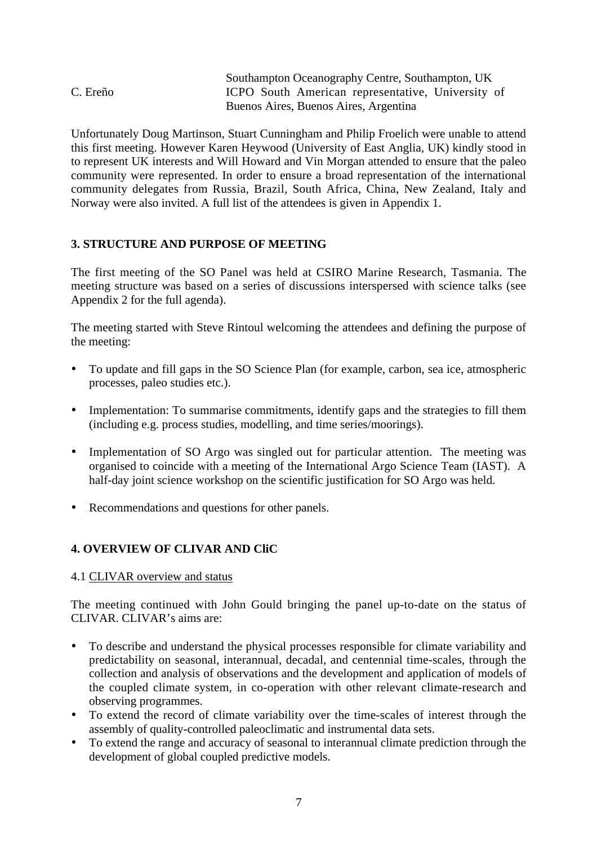|          | Southampton Oceanography Centre, Southampton, UK  |
|----------|---------------------------------------------------|
| C. Ereño | ICPO South American representative, University of |
|          | Buenos Aires, Buenos Aires, Argentina             |

Unfortunately Doug Martinson, Stuart Cunningham and Philip Froelich were unable to attend this first meeting. However Karen Heywood (University of East Anglia, UK) kindly stood in to represent UK interests and Will Howard and Vin Morgan attended to ensure that the paleo community were represented. In order to ensure a broad representation of the international community delegates from Russia, Brazil, South Africa, China, New Zealand, Italy and Norway were also invited. A full list of the attendees is given in Appendix 1.

# **3. STRUCTURE AND PURPOSE OF MEETING**

The first meeting of the SO Panel was held at CSIRO Marine Research, Tasmania. The meeting structure was based on a series of discussions interspersed with science talks (see Appendix 2 for the full agenda).

The meeting started with Steve Rintoul welcoming the attendees and defining the purpose of the meeting:

- To update and fill gaps in the SO Science Plan (for example, carbon, sea ice, atmospheric processes, paleo studies etc.).
- Implementation: To summarise commitments, identify gaps and the strategies to fill them (including e.g. process studies, modelling, and time series/moorings).
- Implementation of SO Argo was singled out for particular attention. The meeting was organised to coincide with a meeting of the International Argo Science Team (IAST). A half-day joint science workshop on the scientific justification for SO Argo was held.
- Recommendations and questions for other panels.

# **4. OVERVIEW OF CLIVAR AND CliC**

#### 4.1 CLIVAR overview and status

The meeting continued with John Gould bringing the panel up-to-date on the status of CLIVAR. CLIVAR's aims are:

- To describe and understand the physical processes responsible for climate variability and predictability on seasonal, interannual, decadal, and centennial time-scales, through the collection and analysis of observations and the development and application of models of the coupled climate system, in co-operation with other relevant climate-research and observing programmes.
- To extend the record of climate variability over the time-scales of interest through the assembly of quality-controlled paleoclimatic and instrumental data sets.
- To extend the range and accuracy of seasonal to interannual climate prediction through the development of global coupled predictive models.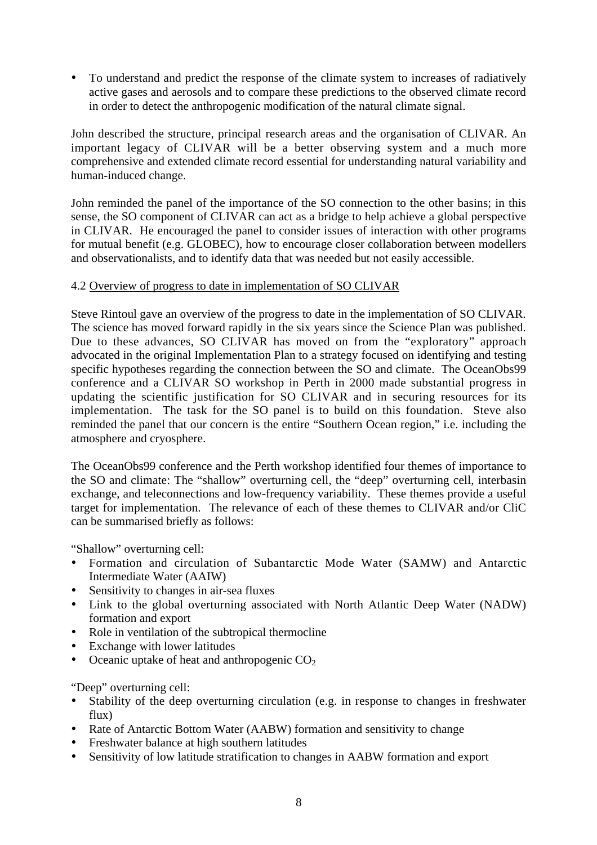• To understand and predict the response of the climate system to increases of radiatively active gases and aerosols and to compare these predictions to the observed climate record in order to detect the anthropogenic modification of the natural climate signal.

John described the structure, principal research areas and the organisation of CLIVAR. An important legacy of CLIVAR will be a better observing system and a much more comprehensive and extended climate record essential for understanding natural variability and human-induced change.

John reminded the panel of the importance of the SO connection to the other basins; in this sense, the SO component of CLIVAR can act as a bridge to help achieve a global perspective in CLIVAR. He encouraged the panel to consider issues of interaction with other programs for mutual benefit (e.g. GLOBEC), how to encourage closer collaboration between modellers and observationalists, and to identify data that was needed but not easily accessible.

# 4.2 Overview of progress to date in implementation of SO CLIVAR

Steve Rintoul gave an overview of the progress to date in the implementation of SO CLIVAR. The science has moved forward rapidly in the six years since the Science Plan was published. Due to these advances, SO CLIVAR has moved on from the "exploratory" approach advocated in the original Implementation Plan to a strategy focused on identifying and testing specific hypotheses regarding the connection between the SO and climate. The OceanObs99 conference and a CLIVAR SO workshop in Perth in 2000 made substantial progress in updating the scientific justification for SO CLIVAR and in securing resources for its implementation. The task for the SO panel is to build on this foundation. Steve also reminded the panel that our concern is the entire "Southern Ocean region," i.e. including the atmosphere and cryosphere.

The OceanObs99 conference and the Perth workshop identified four themes of importance to the SO and climate: The "shallow" overturning cell, the "deep" overturning cell, interbasin exchange, and teleconnections and low-frequency variability. These themes provide a useful target for implementation. The relevance of each of these themes to CLIVAR and/or CliC can be summarised briefly as follows:

"Shallow" overturning cell:

- Formation and circulation of Subantarctic Mode Water (SAMW) and Antarctic Intermediate Water (AAIW)
- Sensitivity to changes in air-sea fluxes
- Link to the global overturning associated with North Atlantic Deep Water (NADW) formation and export
- Role in ventilation of the subtropical thermocline
- Exchange with lower latitudes
- Oceanic uptake of heat and anthropogenic  $CO<sub>2</sub>$

"Deep" overturning cell:

- Stability of the deep overturning circulation (e.g. in response to changes in freshwater flux)
- Rate of Antarctic Bottom Water (AABW) formation and sensitivity to change
- Freshwater balance at high southern latitudes
- Sensitivity of low latitude stratification to changes in AABW formation and export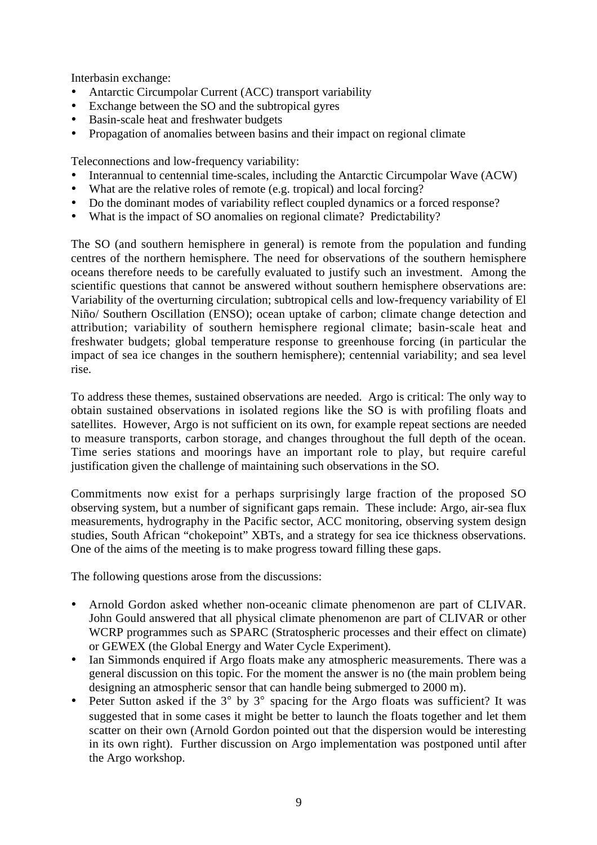Interbasin exchange:

- Antarctic Circumpolar Current (ACC) transport variability
- Exchange between the SO and the subtropical gyres
- Basin-scale heat and freshwater budgets
- Propagation of anomalies between basins and their impact on regional climate

Teleconnections and low-frequency variability:

- Interannual to centennial time-scales, including the Antarctic Circumpolar Wave (ACW)<br>• What are the relative roles of remote (e.g. tropical) and local forcing?
- What are the relative roles of remote (e.g. tropical) and local forcing?
- Do the dominant modes of variability reflect coupled dynamics or a forced response?
- What is the impact of SO anomalies on regional climate? Predictability?

The SO (and southern hemisphere in general) is remote from the population and funding centres of the northern hemisphere. The need for observations of the southern hemisphere oceans therefore needs to be carefully evaluated to justify such an investment. Among the scientific questions that cannot be answered without southern hemisphere observations are: Variability of the overturning circulation; subtropical cells and low-frequency variability of El Niño/ Southern Oscillation (ENSO); ocean uptake of carbon; climate change detection and attribution; variability of southern hemisphere regional climate; basin-scale heat and freshwater budgets; global temperature response to greenhouse forcing (in particular the impact of sea ice changes in the southern hemisphere); centennial variability; and sea level rise.

To address these themes, sustained observations are needed. Argo is critical: The only way to obtain sustained observations in isolated regions like the SO is with profiling floats and satellites. However, Argo is not sufficient on its own, for example repeat sections are needed to measure transports, carbon storage, and changes throughout the full depth of the ocean. Time series stations and moorings have an important role to play, but require careful justification given the challenge of maintaining such observations in the SO.

Commitments now exist for a perhaps surprisingly large fraction of the proposed SO observing system, but a number of significant gaps remain. These include: Argo, air-sea flux measurements, hydrography in the Pacific sector, ACC monitoring, observing system design studies, South African "chokepoint" XBTs, and a strategy for sea ice thickness observations. One of the aims of the meeting is to make progress toward filling these gaps.

The following questions arose from the discussions:

- Arnold Gordon asked whether non-oceanic climate phenomenon are part of CLIVAR. John Gould answered that all physical climate phenomenon are part of CLIVAR or other WCRP programmes such as SPARC (Stratospheric processes and their effect on climate) or GEWEX (the Global Energy and Water Cycle Experiment).
- Ian Simmonds enquired if Argo floats make any atmospheric measurements. There was a general discussion on this topic. For the moment the answer is no (the main problem being designing an atmospheric sensor that can handle being submerged to 2000 m).
- Peter Sutton asked if the 3° by 3° spacing for the Argo floats was sufficient? It was suggested that in some cases it might be better to launch the floats together and let them scatter on their own (Arnold Gordon pointed out that the dispersion would be interesting in its own right). Further discussion on Argo implementation was postponed until after the Argo workshop.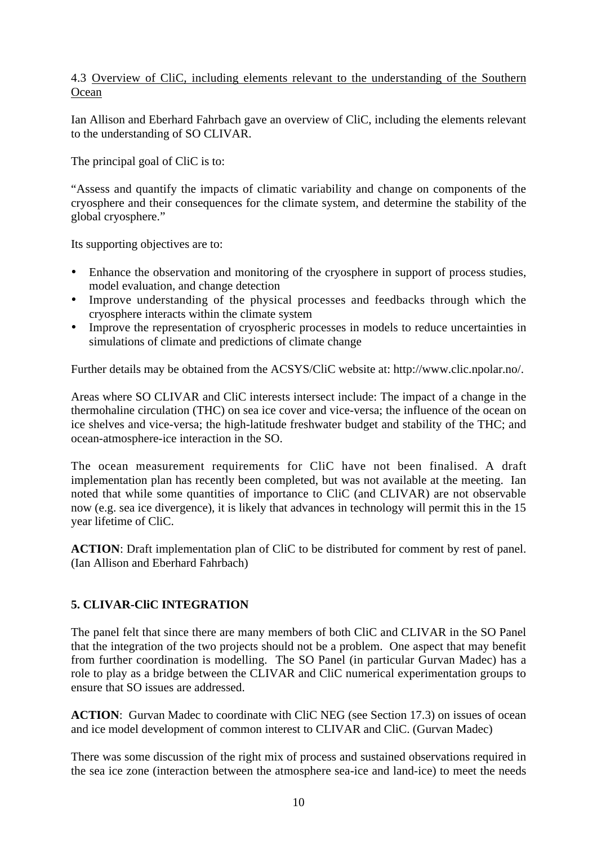# 4.3 Overview of CliC, including elements relevant to the understanding of the Southern **Ocean**

Ian Allison and Eberhard Fahrbach gave an overview of CliC, including the elements relevant to the understanding of SO CLIVAR.

The principal goal of CliC is to:

"Assess and quantify the impacts of climatic variability and change on components of the cryosphere and their consequences for the climate system, and determine the stability of the global cryosphere."

Its supporting objectives are to:

- Enhance the observation and monitoring of the cryosphere in support of process studies, model evaluation, and change detection
- Improve understanding of the physical processes and feedbacks through which the cryosphere interacts within the climate system
- Improve the representation of cryospheric processes in models to reduce uncertainties in simulations of climate and predictions of climate change

Further details may be obtained from the ACSYS/CliC website at: http://www.clic.npolar.no/.

Areas where SO CLIVAR and CliC interests intersect include: The impact of a change in the thermohaline circulation (THC) on sea ice cover and vice-versa; the influence of the ocean on ice shelves and vice-versa; the high-latitude freshwater budget and stability of the THC; and ocean-atmosphere-ice interaction in the SO.

The ocean measurement requirements for CliC have not been finalised. A draft implementation plan has recently been completed, but was not available at the meeting. Ian noted that while some quantities of importance to CliC (and CLIVAR) are not observable now (e.g. sea ice divergence), it is likely that advances in technology will permit this in the 15 year lifetime of CliC.

**ACTION**: Draft implementation plan of CliC to be distributed for comment by rest of panel. (Ian Allison and Eberhard Fahrbach)

# **5. CLIVAR-CliC INTEGRATION**

The panel felt that since there are many members of both CliC and CLIVAR in the SO Panel that the integration of the two projects should not be a problem. One aspect that may benefit from further coordination is modelling. The SO Panel (in particular Gurvan Madec) has a role to play as a bridge between the CLIVAR and CliC numerical experimentation groups to ensure that SO issues are addressed.

**ACTION:** Gurvan Madec to coordinate with CliC NEG (see Section 17.3) on issues of ocean and ice model development of common interest to CLIVAR and CliC. (Gurvan Madec)

There was some discussion of the right mix of process and sustained observations required in the sea ice zone (interaction between the atmosphere sea-ice and land-ice) to meet the needs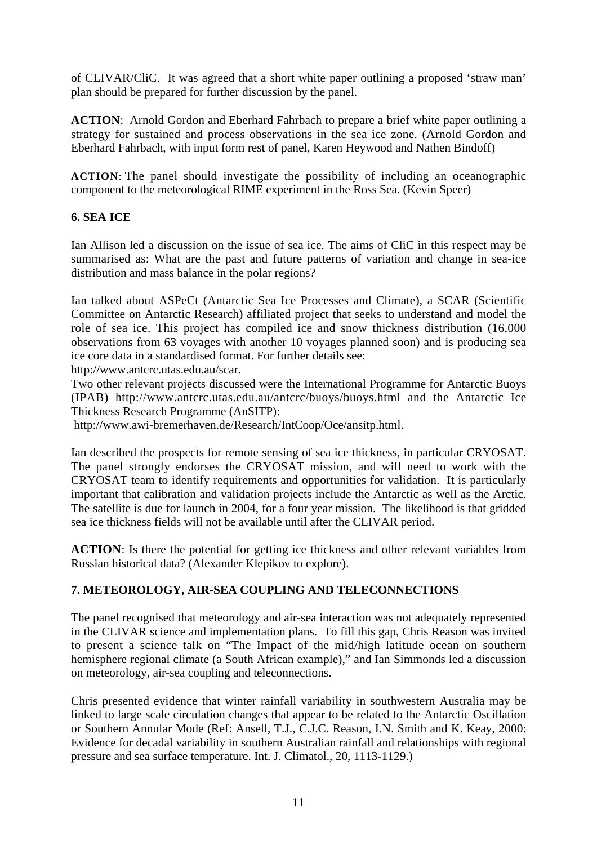of CLIVAR/CliC. It was agreed that a short white paper outlining a proposed 'straw man' plan should be prepared for further discussion by the panel.

**ACTION**: Arnold Gordon and Eberhard Fahrbach to prepare a brief white paper outlining a strategy for sustained and process observations in the sea ice zone. (Arnold Gordon and Eberhard Fahrbach, with input form rest of panel, Karen Heywood and Nathen Bindoff)

**ACTION**: The panel should investigate the possibility of including an oceanographic component to the meteorological RIME experiment in the Ross Sea. (Kevin Speer)

# **6. SEA ICE**

Ian Allison led a discussion on the issue of sea ice. The aims of CliC in this respect may be summarised as: What are the past and future patterns of variation and change in sea-ice distribution and mass balance in the polar regions?

Ian talked about ASPeCt (Antarctic Sea Ice Processes and Climate), a SCAR (Scientific Committee on Antarctic Research) affiliated project that seeks to understand and model the role of sea ice. This project has compiled ice and snow thickness distribution (16,000 observations from 63 voyages with another 10 voyages planned soon) and is producing sea ice core data in a standardised format. For further details see:

http://www.antcrc.utas.edu.au/scar.

Two other relevant projects discussed were the International Programme for Antarctic Buoys (IPAB) http://www.antcrc.utas.edu.au/antcrc/buoys/buoys.html and the Antarctic Ice Thickness Research Programme (AnSITP):

http://www.awi-bremerhaven.de/Research/IntCoop/Oce/ansitp.html.

Ian described the prospects for remote sensing of sea ice thickness, in particular CRYOSAT. The panel strongly endorses the CRYOSAT mission, and will need to work with the CRYOSAT team to identify requirements and opportunities for validation. It is particularly important that calibration and validation projects include the Antarctic as well as the Arctic. The satellite is due for launch in 2004, for a four year mission. The likelihood is that gridded sea ice thickness fields will not be available until after the CLIVAR period.

**ACTION**: Is there the potential for getting ice thickness and other relevant variables from Russian historical data? (Alexander Klepikov to explore).

# **7. METEOROLOGY, AIR-SEA COUPLING AND TELECONNECTIONS**

The panel recognised that meteorology and air-sea interaction was not adequately represented in the CLIVAR science and implementation plans. To fill this gap, Chris Reason was invited to present a science talk on "The Impact of the mid/high latitude ocean on southern hemisphere regional climate (a South African example)," and Ian Simmonds led a discussion on meteorology, air-sea coupling and teleconnections.

Chris presented evidence that winter rainfall variability in southwestern Australia may be linked to large scale circulation changes that appear to be related to the Antarctic Oscillation or Southern Annular Mode (Ref: Ansell, T.J., C.J.C. Reason, I.N. Smith and K. Keay, 2000: Evidence for decadal variability in southern Australian rainfall and relationships with regional pressure and sea surface temperature. Int. J. Climatol., 20, 1113-1129.)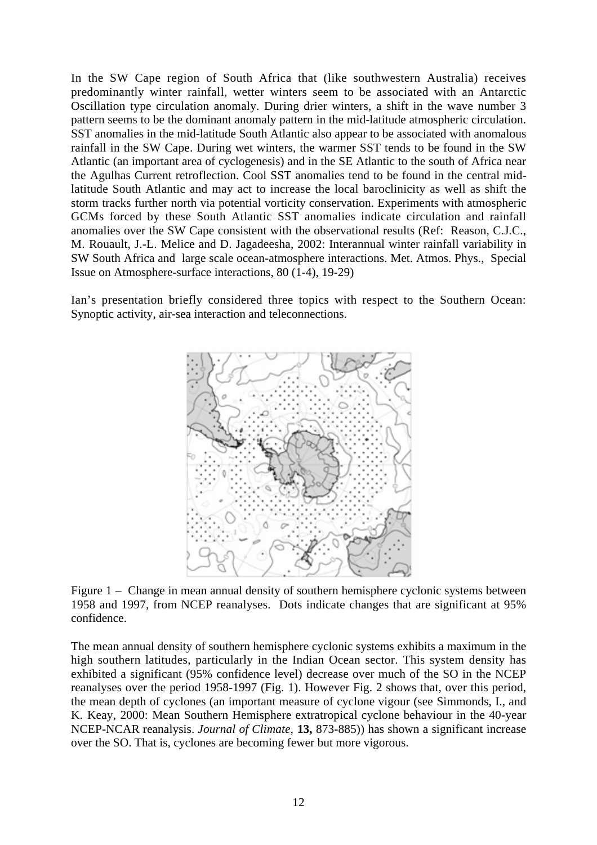In the SW Cape region of South Africa that (like southwestern Australia) receives predominantly winter rainfall, wetter winters seem to be associated with an Antarctic Oscillation type circulation anomaly. During drier winters, a shift in the wave number 3 pattern seems to be the dominant anomaly pattern in the mid-latitude atmospheric circulation. SST anomalies in the mid-latitude South Atlantic also appear to be associated with anomalous rainfall in the SW Cape. During wet winters, the warmer SST tends to be found in the SW Atlantic (an important area of cyclogenesis) and in the SE Atlantic to the south of Africa near the Agulhas Current retroflection. Cool SST anomalies tend to be found in the central midlatitude South Atlantic and may act to increase the local baroclinicity as well as shift the storm tracks further north via potential vorticity conservation. Experiments with atmospheric GCMs forced by these South Atlantic SST anomalies indicate circulation and rainfall anomalies over the SW Cape consistent with the observational results (Ref: Reason, C.J.C., M. Rouault, J.-L. Melice and D. Jagadeesha, 2002: Interannual winter rainfall variability in SW South Africa and large scale ocean-atmosphere interactions. Met. Atmos. Phys., Special Issue on Atmosphere-surface interactions, 80 (1-4), 19-29)

Ian's presentation briefly considered three topics with respect to the Southern Ocean: Synoptic activity, air-sea interaction and teleconnections.



Figure 1 – Change in mean annual density of southern hemisphere cyclonic systems between 1958 and 1997, from NCEP reanalyses. Dots indicate changes that are significant at 95% confidence.

The mean annual density of southern hemisphere cyclonic systems exhibits a maximum in the high southern latitudes, particularly in the Indian Ocean sector. This system density has exhibited a significant (95% confidence level) decrease over much of the SO in the NCEP reanalyses over the period 1958-1997 (Fig. 1). However Fig. 2 shows that, over this period, the mean depth of cyclones (an important measure of cyclone vigour (see Simmonds, I., and K. Keay, 2000: Mean Southern Hemisphere extratropical cyclone behaviour in the 40-year NCEP-NCAR reanalysis. *Journal of Climate,* **13,** 873-885)) has shown a significant increase over the SO. That is, cyclones are becoming fewer but more vigorous.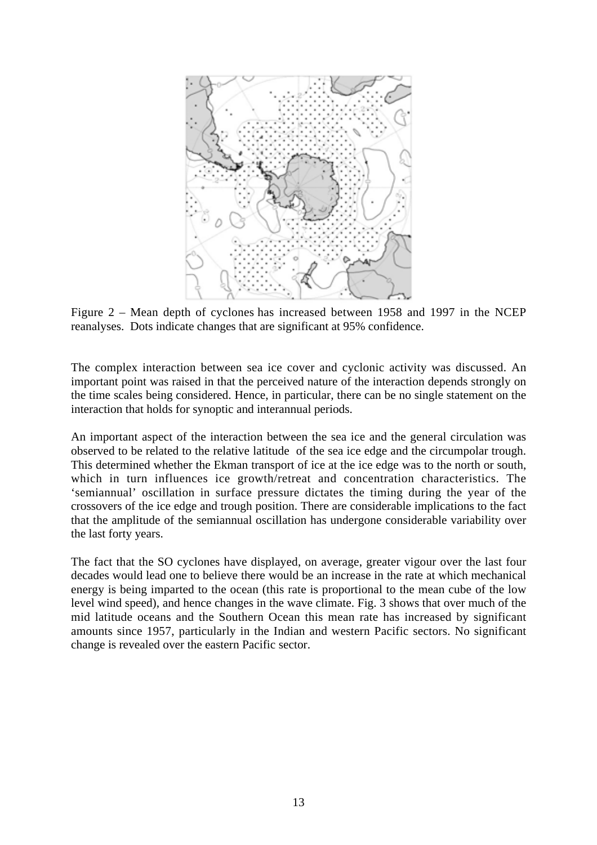

Figure 2 – Mean depth of cyclones has increased between 1958 and 1997 in the NCEP reanalyses. Dots indicate changes that are significant at 95% confidence.

The complex interaction between sea ice cover and cyclonic activity was discussed. An important point was raised in that the perceived nature of the interaction depends strongly on the time scales being considered. Hence, in particular, there can be no single statement on the interaction that holds for synoptic and interannual periods.

An important aspect of the interaction between the sea ice and the general circulation was observed to be related to the relative latitude of the sea ice edge and the circumpolar trough. This determined whether the Ekman transport of ice at the ice edge was to the north or south, which in turn influences ice growth/retreat and concentration characteristics. The 'semiannual' oscillation in surface pressure dictates the timing during the year of the crossovers of the ice edge and trough position. There are considerable implications to the fact that the amplitude of the semiannual oscillation has undergone considerable variability over the last forty years.

The fact that the SO cyclones have displayed, on average, greater vigour over the last four decades would lead one to believe there would be an increase in the rate at which mechanical energy is being imparted to the ocean (this rate is proportional to the mean cube of the low level wind speed), and hence changes in the wave climate. Fig. 3 shows that over much of the mid latitude oceans and the Southern Ocean this mean rate has increased by significant amounts since 1957, particularly in the Indian and western Pacific sectors. No significant change is revealed over the eastern Pacific sector.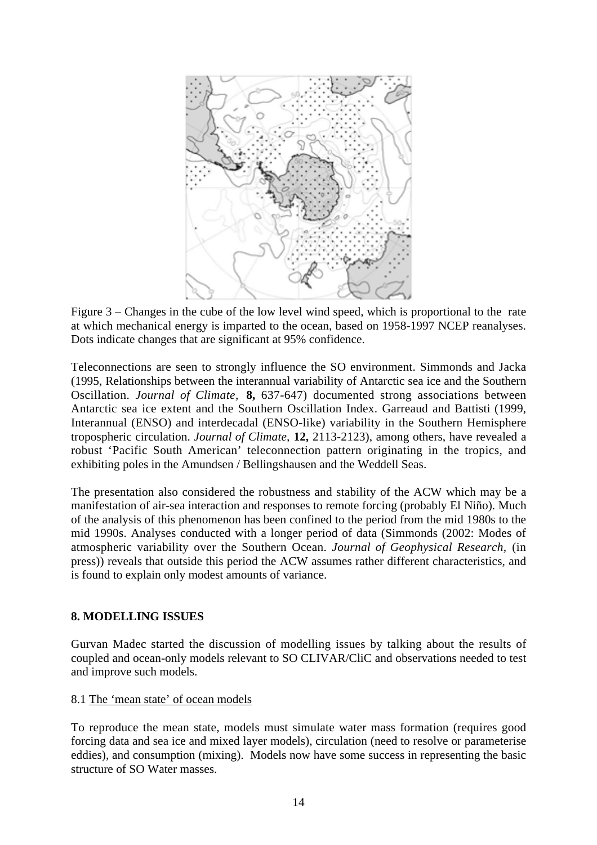

Figure 3 – Changes in the cube of the low level wind speed, which is proportional to the rate at which mechanical energy is imparted to the ocean, based on 1958-1997 NCEP reanalyses. Dots indicate changes that are significant at 95% confidence.

Teleconnections are seen to strongly influence the SO environment. Simmonds and Jacka (1995, Relationships between the interannual variability of Antarctic sea ice and the Southern Oscillation. *Journal of Climate,* **8,** 637-647) documented strong associations between Antarctic sea ice extent and the Southern Oscillation Index. Garreaud and Battisti (1999, Interannual (ENSO) and interdecadal (ENSO-like) variability in the Southern Hemisphere tropospheric circulation. *Journal of Climate,* **12,** 2113-2123), among others, have revealed a robust 'Pacific South American' teleconnection pattern originating in the tropics, and exhibiting poles in the Amundsen / Bellingshausen and the Weddell Seas.

The presentation also considered the robustness and stability of the ACW which may be a manifestation of air-sea interaction and responses to remote forcing (probably El Niño). Much of the analysis of this phenomenon has been confined to the period from the mid 1980s to the mid 1990s. Analyses conducted with a longer period of data (Simmonds (2002: Modes of atmospheric variability over the Southern Ocean. *Journal of Geophysical Research,* (in press)) reveals that outside this period the ACW assumes rather different characteristics, and is found to explain only modest amounts of variance.

# **8. MODELLING ISSUES**

Gurvan Madec started the discussion of modelling issues by talking about the results of coupled and ocean-only models relevant to SO CLIVAR/CliC and observations needed to test and improve such models.

#### 8.1 The 'mean state' of ocean models

To reproduce the mean state, models must simulate water mass formation (requires good forcing data and sea ice and mixed layer models), circulation (need to resolve or parameterise eddies), and consumption (mixing). Models now have some success in representing the basic structure of SO Water masses.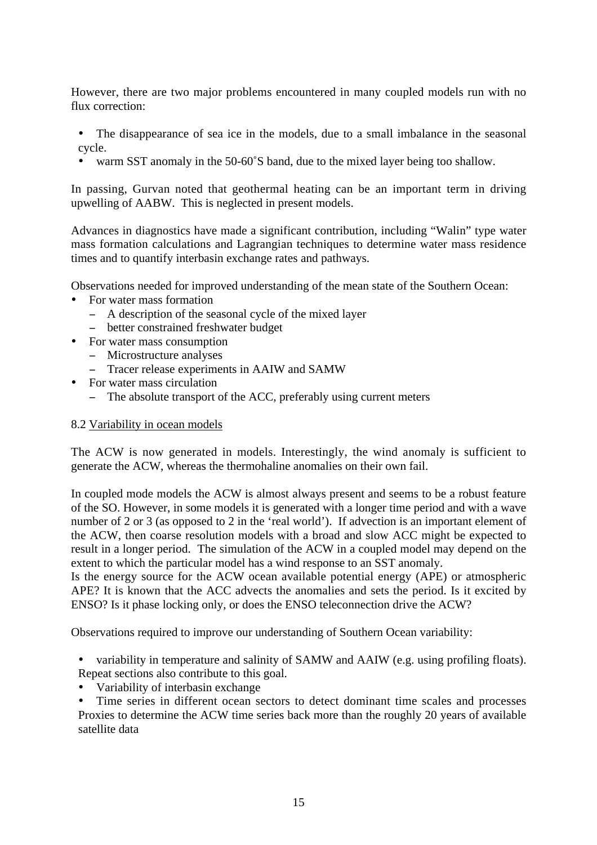However, there are two major problems encountered in many coupled models run with no flux correction:

- The disappearance of sea ice in the models, due to a small imbalance in the seasonal cycle.
- warm SST anomaly in the 50-60°S band, due to the mixed layer being too shallow.

In passing, Gurvan noted that geothermal heating can be an important term in driving upwelling of AABW. This is neglected in present models.

Advances in diagnostics have made a significant contribution, including "Walin" type water mass formation calculations and Lagrangian techniques to determine water mass residence times and to quantify interbasin exchange rates and pathways.

Observations needed for improved understanding of the mean state of the Southern Ocean:

- For water mass formation
	- − A description of the seasonal cycle of the mixed layer
	- − better constrained freshwater budget
- For water mass consumption
	- − Microstructure analyses
	- − Tracer release experiments in AAIW and SAMW
- For water mass circulation
	- − The absolute transport of the ACC, preferably using current meters

#### 8.2 Variability in ocean models

The ACW is now generated in models. Interestingly, the wind anomaly is sufficient to generate the ACW, whereas the thermohaline anomalies on their own fail.

In coupled mode models the ACW is almost always present and seems to be a robust feature of the SO. However, in some models it is generated with a longer time period and with a wave number of 2 or 3 (as opposed to 2 in the 'real world'). If advection is an important element of the ACW, then coarse resolution models with a broad and slow ACC might be expected to result in a longer period. The simulation of the ACW in a coupled model may depend on the extent to which the particular model has a wind response to an SST anomaly.

Is the energy source for the ACW ocean available potential energy (APE) or atmospheric APE? It is known that the ACC advects the anomalies and sets the period. Is it excited by ENSO? Is it phase locking only, or does the ENSO teleconnection drive the ACW?

Observations required to improve our understanding of Southern Ocean variability:

• variability in temperature and salinity of SAMW and AAIW (e.g. using profiling floats). Repeat sections also contribute to this goal.

• Variability of interbasin exchange

Time series in different ocean sectors to detect dominant time scales and processes Proxies to determine the ACW time series back more than the roughly 20 years of available satellite data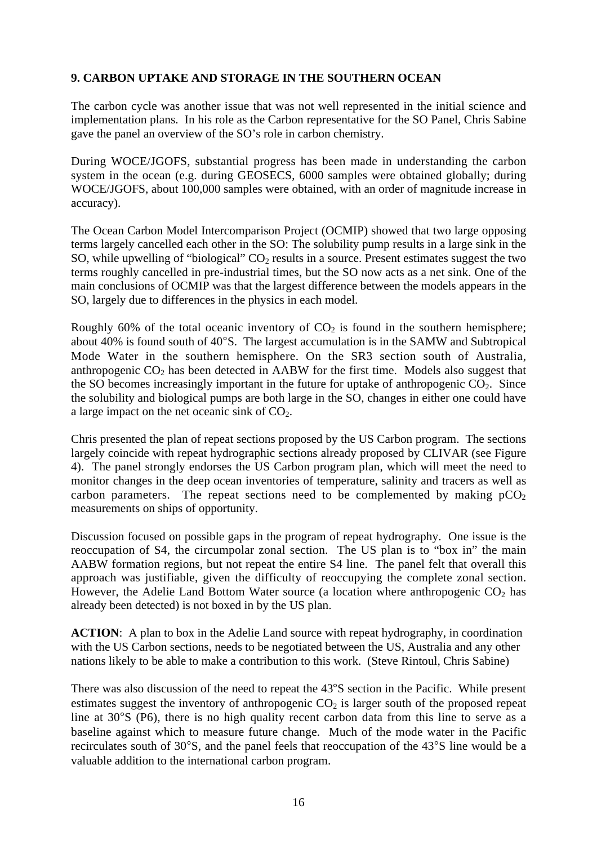# **9. CARBON UPTAKE AND STORAGE IN THE SOUTHERN OCEAN**

The carbon cycle was another issue that was not well represented in the initial science and implementation plans. In his role as the Carbon representative for the SO Panel, Chris Sabine gave the panel an overview of the SO's role in carbon chemistry.

During WOCE/JGOFS, substantial progress has been made in understanding the carbon system in the ocean (e.g. during GEOSECS, 6000 samples were obtained globally; during WOCE/JGOFS, about 100,000 samples were obtained, with an order of magnitude increase in accuracy).

The Ocean Carbon Model Intercomparison Project (OCMIP) showed that two large opposing terms largely cancelled each other in the SO: The solubility pump results in a large sink in the SO, while upwelling of "biological"  $CO<sub>2</sub>$  results in a source. Present estimates suggest the two terms roughly cancelled in pre-industrial times, but the SO now acts as a net sink. One of the main conclusions of OCMIP was that the largest difference between the models appears in the SO, largely due to differences in the physics in each model.

Roughly 60% of the total oceanic inventory of  $CO<sub>2</sub>$  is found in the southern hemisphere; about 40% is found south of 40°S. The largest accumulation is in the SAMW and Subtropical Mode Water in the southern hemisphere. On the SR3 section south of Australia, anthropogenic  $CO<sub>2</sub>$  has been detected in AABW for the first time. Models also suggest that the SO becomes increasingly important in the future for uptake of anthropogenic  $CO<sub>2</sub>$ . Since the solubility and biological pumps are both large in the SO, changes in either one could have a large impact on the net oceanic sink of  $CO<sub>2</sub>$ .

Chris presented the plan of repeat sections proposed by the US Carbon program. The sections largely coincide with repeat hydrographic sections already proposed by CLIVAR (see Figure 4). The panel strongly endorses the US Carbon program plan, which will meet the need to monitor changes in the deep ocean inventories of temperature, salinity and tracers as well as carbon parameters. The repeat sections need to be complemented by making  $pCO<sub>2</sub>$ measurements on ships of opportunity.

Discussion focused on possible gaps in the program of repeat hydrography. One issue is the reoccupation of S4, the circumpolar zonal section. The US plan is to "box in" the main AABW formation regions, but not repeat the entire S4 line. The panel felt that overall this approach was justifiable, given the difficulty of reoccupying the complete zonal section. However, the Adelie Land Bottom Water source (a location where anthropogenic  $CO<sub>2</sub>$  has already been detected) is not boxed in by the US plan.

**ACTION**: A plan to box in the Adelie Land source with repeat hydrography, in coordination with the US Carbon sections, needs to be negotiated between the US, Australia and any other nations likely to be able to make a contribution to this work. (Steve Rintoul, Chris Sabine)

There was also discussion of the need to repeat the 43°S section in the Pacific. While present estimates suggest the inventory of anthropogenic  $CO<sub>2</sub>$  is larger south of the proposed repeat line at 30°S (P6), there is no high quality recent carbon data from this line to serve as a baseline against which to measure future change. Much of the mode water in the Pacific recirculates south of 30°S, and the panel feels that reoccupation of the 43°S line would be a valuable addition to the international carbon program.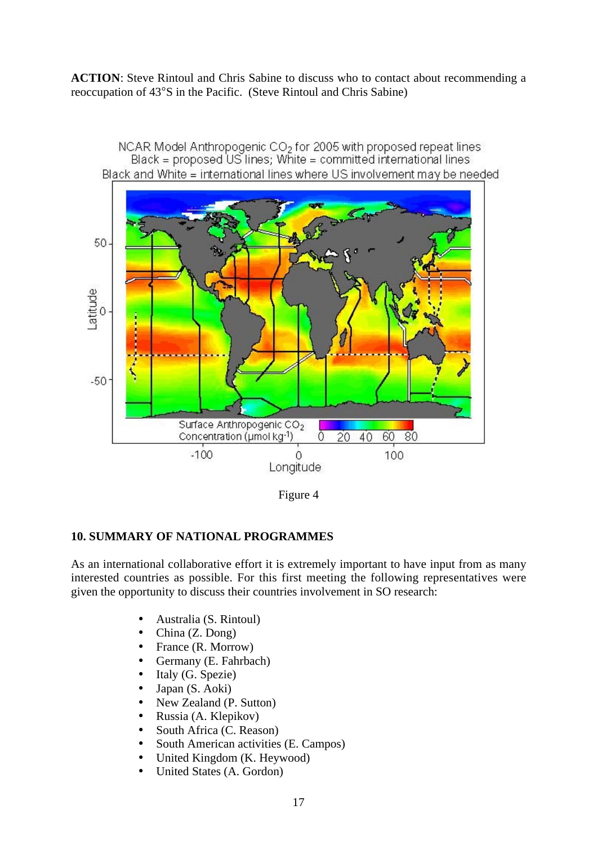**ACTION**: Steve Rintoul and Chris Sabine to discuss who to contact about recommending a reoccupation of 43°S in the Pacific. (Steve Rintoul and Chris Sabine)



Figure 4

# **10. SUMMARY OF NATIONAL PROGRAMMES**

As an international collaborative effort it is extremely important to have input from as many interested countries as possible. For this first meeting the following representatives were given the opportunity to discuss their countries involvement in SO research:

- Australia (S. Rintoul)
- China (Z. Dong)
- France (R. Morrow)
- Germany (E. Fahrbach)
- Italy (G. Spezie)
- Japan (S. Aoki)
- New Zealand (P. Sutton)
- Russia (A. Klepikov)
- South Africa (C. Reason)
- South American activities (E. Campos)
- United Kingdom (K. Heywood)
- United States (A. Gordon)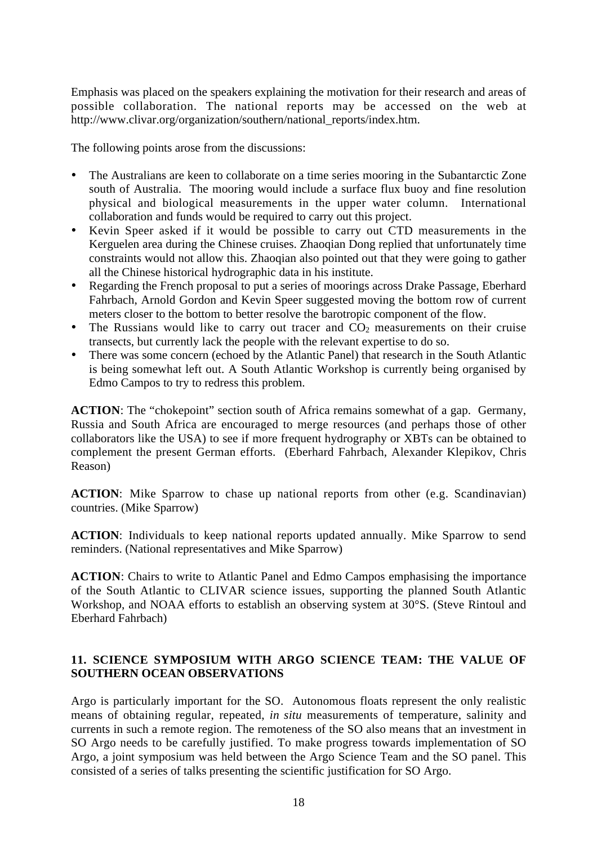Emphasis was placed on the speakers explaining the motivation for their research and areas of possible collaboration. The national reports may be accessed on the web at http://www.clivar.org/organization/southern/national\_reports/index.htm.

The following points arose from the discussions:

- The Australians are keen to collaborate on a time series mooring in the Subantarctic Zone south of Australia. The mooring would include a surface flux buoy and fine resolution physical and biological measurements in the upper water column. International collaboration and funds would be required to carry out this project.
- Kevin Speer asked if it would be possible to carry out CTD measurements in the Kerguelen area during the Chinese cruises. Zhaoqian Dong replied that unfortunately time constraints would not allow this. Zhaoqian also pointed out that they were going to gather all the Chinese historical hydrographic data in his institute.
- Regarding the French proposal to put a series of moorings across Drake Passage, Eberhard Fahrbach, Arnold Gordon and Kevin Speer suggested moving the bottom row of current meters closer to the bottom to better resolve the barotropic component of the flow.
- The Russians would like to carry out tracer and  $CO<sub>2</sub>$  measurements on their cruise transects, but currently lack the people with the relevant expertise to do so.
- There was some concern (echoed by the Atlantic Panel) that research in the South Atlantic is being somewhat left out. A South Atlantic Workshop is currently being organised by Edmo Campos to try to redress this problem.

**ACTION**: The "chokepoint" section south of Africa remains somewhat of a gap. Germany, Russia and South Africa are encouraged to merge resources (and perhaps those of other collaborators like the USA) to see if more frequent hydrography or XBTs can be obtained to complement the present German efforts. (Eberhard Fahrbach, Alexander Klepikov, Chris Reason)

**ACTION**: Mike Sparrow to chase up national reports from other (e.g. Scandinavian) countries. (Mike Sparrow)

**ACTION**: Individuals to keep national reports updated annually. Mike Sparrow to send reminders. (National representatives and Mike Sparrow)

**ACTION**: Chairs to write to Atlantic Panel and Edmo Campos emphasising the importance of the South Atlantic to CLIVAR science issues, supporting the planned South Atlantic Workshop, and NOAA efforts to establish an observing system at 30°S. (Steve Rintoul and Eberhard Fahrbach)

# **11. SCIENCE SYMPOSIUM WITH ARGO SCIENCE TEAM: THE VALUE OF SOUTHERN OCEAN OBSERVATIONS**

Argo is particularly important for the SO. Autonomous floats represent the only realistic means of obtaining regular, repeated, *in situ* measurements of temperature, salinity and currents in such a remote region. The remoteness of the SO also means that an investment in SO Argo needs to be carefully justified. To make progress towards implementation of SO Argo, a joint symposium was held between the Argo Science Team and the SO panel. This consisted of a series of talks presenting the scientific justification for SO Argo.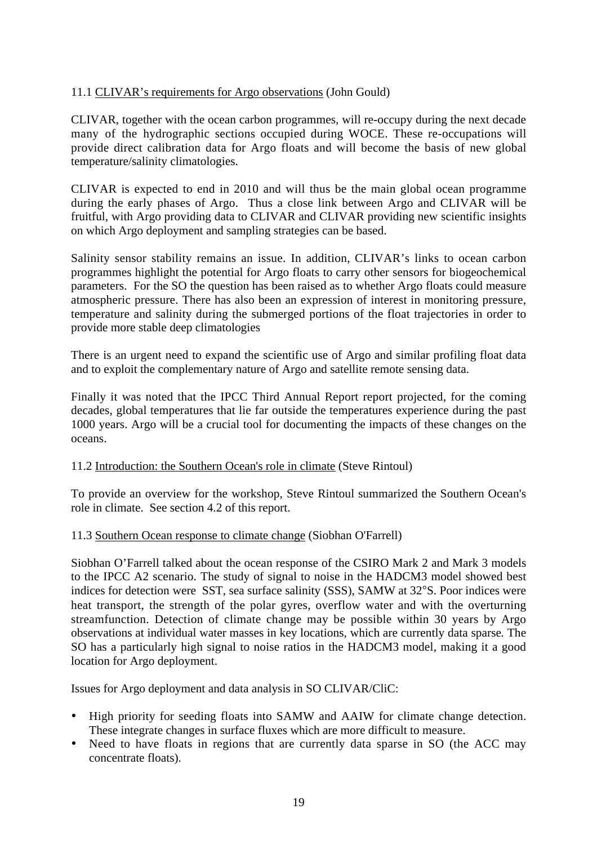# 11.1 CLIVAR's requirements for Argo observations (John Gould)

CLIVAR, together with the ocean carbon programmes, will re-occupy during the next decade many of the hydrographic sections occupied during WOCE. These re-occupations will provide direct calibration data for Argo floats and will become the basis of new global temperature/salinity climatologies.

CLIVAR is expected to end in 2010 and will thus be the main global ocean programme during the early phases of Argo. Thus a close link between Argo and CLIVAR will be fruitful, with Argo providing data to CLIVAR and CLIVAR providing new scientific insights on which Argo deployment and sampling strategies can be based.

Salinity sensor stability remains an issue. In addition, CLIVAR's links to ocean carbon programmes highlight the potential for Argo floats to carry other sensors for biogeochemical parameters. For the SO the question has been raised as to whether Argo floats could measure atmospheric pressure. There has also been an expression of interest in monitoring pressure, temperature and salinity during the submerged portions of the float trajectories in order to provide more stable deep climatologies

There is an urgent need to expand the scientific use of Argo and similar profiling float data and to exploit the complementary nature of Argo and satellite remote sensing data.

Finally it was noted that the IPCC Third Annual Report report projected, for the coming decades, global temperatures that lie far outside the temperatures experience during the past 1000 years. Argo will be a crucial tool for documenting the impacts of these changes on the oceans.

#### 11.2 Introduction: the Southern Ocean's role in climate (Steve Rintoul)

To provide an overview for the workshop, Steve Rintoul summarized the Southern Ocean's role in climate. See section 4.2 of this report.

#### 11.3 Southern Ocean response to climate change (Siobhan O'Farrell)

Siobhan O'Farrell talked about the ocean response of the CSIRO Mark 2 and Mark 3 models to the IPCC A2 scenario. The study of signal to noise in the HADCM3 model showed best indices for detection were SST, sea surface salinity (SSS), SAMW at 32°S. Poor indices were heat transport, the strength of the polar gyres, overflow water and with the overturning streamfunction. Detection of climate change may be possible within 30 years by Argo observations at individual water masses in key locations, which are currently data sparse*.* The SO has a particularly high signal to noise ratios in the HADCM3 model, making it a good location for Argo deployment.

Issues for Argo deployment and data analysis in SO CLIVAR/CliC:

- High priority for seeding floats into SAMW and AAIW for climate change detection. These integrate changes in surface fluxes which are more difficult to measure.
- Need to have floats in regions that are currently data sparse in SO (the ACC may concentrate floats).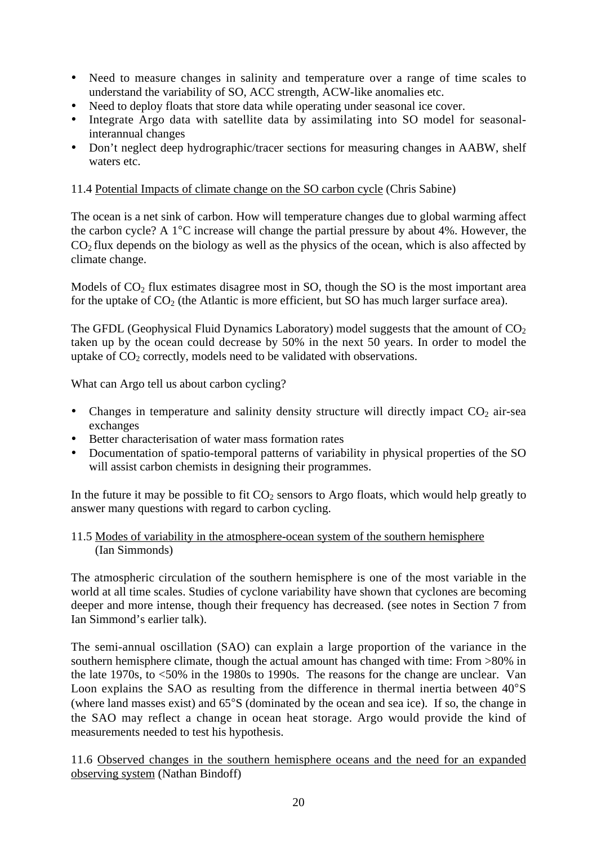- Need to measure changes in salinity and temperature over a range of time scales to understand the variability of SO, ACC strength, ACW-like anomalies etc.
- Need to deploy floats that store data while operating under seasonal ice cover.
- Integrate Argo data with satellite data by assimilating into SO model for seasonalinterannual changes
- Don't neglect deep hydrographic/tracer sections for measuring changes in AABW, shelf waters etc.

# 11.4 Potential Impacts of climate change on the SO carbon cycle (Chris Sabine)

The ocean is a net sink of carbon. How will temperature changes due to global warming affect the carbon cycle? A 1°C increase will change the partial pressure by about 4%. However, the  $CO<sub>2</sub>$  flux depends on the biology as well as the physics of the ocean, which is also affected by climate change.

Models of  $CO<sub>2</sub>$  flux estimates disagree most in SO, though the SO is the most important area for the uptake of  $CO<sub>2</sub>$  (the Atlantic is more efficient, but SO has much larger surface area).

The GFDL (Geophysical Fluid Dynamics Laboratory) model suggests that the amount of  $CO<sub>2</sub>$ taken up by the ocean could decrease by 50% in the next 50 years. In order to model the uptake of  $CO<sub>2</sub>$  correctly, models need to be validated with observations.

What can Argo tell us about carbon cycling?

- Changes in temperature and salinity density structure will directly impact  $CO<sub>2</sub>$  air-sea exchanges
- Better characterisation of water mass formation rates
- Documentation of spatio-temporal patterns of variability in physical properties of the SO will assist carbon chemists in designing their programmes.

In the future it may be possible to fit  $CO<sub>2</sub>$  sensors to Argo floats, which would help greatly to answer many questions with regard to carbon cycling.

### 11.5 Modes of variability in the atmosphere-ocean system of the southern hemisphere (Ian Simmonds)

The atmospheric circulation of the southern hemisphere is one of the most variable in the world at all time scales. Studies of cyclone variability have shown that cyclones are becoming deeper and more intense, though their frequency has decreased. (see notes in Section 7 from Ian Simmond's earlier talk).

The semi-annual oscillation (SAO) can explain a large proportion of the variance in the southern hemisphere climate, though the actual amount has changed with time: From >80% in the late 1970s, to <50% in the 1980s to 1990s. The reasons for the change are unclear. Van Loon explains the SAO as resulting from the difference in thermal inertia between 40°S (where land masses exist) and 65°S (dominated by the ocean and sea ice). If so, the change in the SAO may reflect a change in ocean heat storage. Argo would provide the kind of measurements needed to test his hypothesis.

11.6 Observed changes in the southern hemisphere oceans and the need for an expanded observing system (Nathan Bindoff)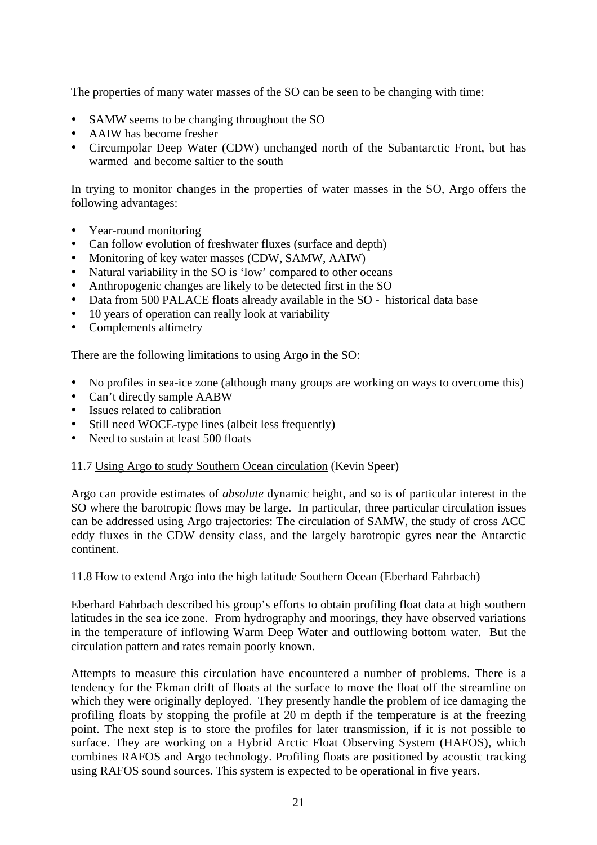The properties of many water masses of the SO can be seen to be changing with time:

- SAMW seems to be changing throughout the SO
- AAIW has become fresher
- Circumpolar Deep Water (CDW) unchanged north of the Subantarctic Front, but has warmed and become saltier to the south

In trying to monitor changes in the properties of water masses in the SO, Argo offers the following advantages:

- Year-round monitoring
- Can follow evolution of freshwater fluxes (surface and depth)
- Monitoring of key water masses (CDW, SAMW, AAIW)
- Natural variability in the SO is 'low' compared to other oceans
- Anthropogenic changes are likely to be detected first in the SO
- Data from 500 PALACE floats already available in the SO historical data base
- 10 years of operation can really look at variability
- Complements altimetry

There are the following limitations to using Argo in the SO:

- No profiles in sea-ice zone (although many groups are working on ways to overcome this)
- Can't directly sample AABW
- Issues related to calibration
- Still need WOCE-type lines (albeit less frequently)
- Need to sustain at least 500 floats

#### 11.7 Using Argo to study Southern Ocean circulation (Kevin Speer)

Argo can provide estimates of *absolute* dynamic height, and so is of particular interest in the SO where the barotropic flows may be large. In particular, three particular circulation issues can be addressed using Argo trajectories: The circulation of SAMW, the study of cross ACC eddy fluxes in the CDW density class, and the largely barotropic gyres near the Antarctic continent.

#### 11.8 How to extend Argo into the high latitude Southern Ocean (Eberhard Fahrbach)

Eberhard Fahrbach described his group's efforts to obtain profiling float data at high southern latitudes in the sea ice zone. From hydrography and moorings, they have observed variations in the temperature of inflowing Warm Deep Water and outflowing bottom water. But the circulation pattern and rates remain poorly known.

Attempts to measure this circulation have encountered a number of problems. There is a tendency for the Ekman drift of floats at the surface to move the float off the streamline on which they were originally deployed. They presently handle the problem of ice damaging the profiling floats by stopping the profile at 20 m depth if the temperature is at the freezing point. The next step is to store the profiles for later transmission, if it is not possible to surface. They are working on a Hybrid Arctic Float Observing System (HAFOS), which combines RAFOS and Argo technology. Profiling floats are positioned by acoustic tracking using RAFOS sound sources. This system is expected to be operational in five years.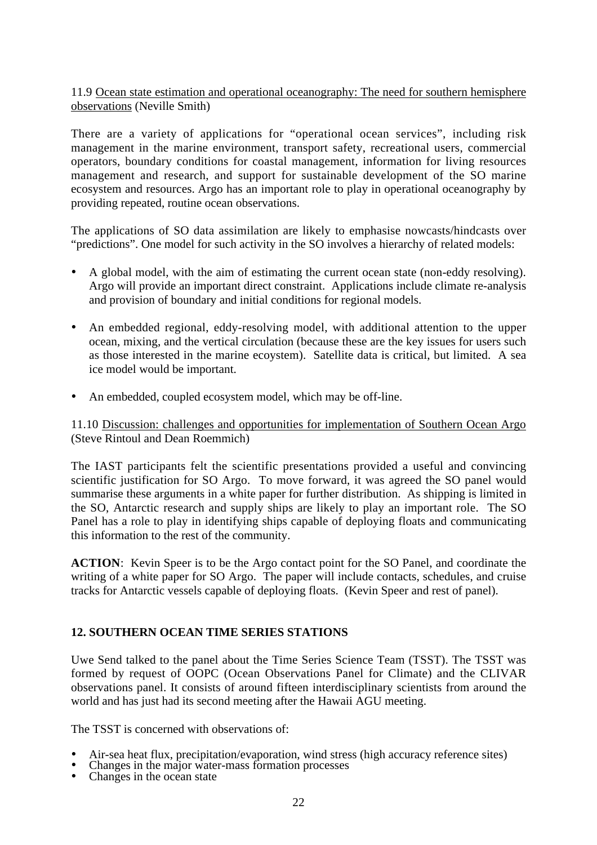11.9 Ocean state estimation and operational oceanography: The need for southern hemisphere observations (Neville Smith)

There are a variety of applications for "operational ocean services", including risk management in the marine environment, transport safety, recreational users, commercial operators, boundary conditions for coastal management, information for living resources management and research, and support for sustainable development of the SO marine ecosystem and resources. Argo has an important role to play in operational oceanography by providing repeated, routine ocean observations.

The applications of SO data assimilation are likely to emphasise nowcasts/hindcasts over "predictions". One model for such activity in the SO involves a hierarchy of related models:

- A global model, with the aim of estimating the current ocean state (non-eddy resolving). Argo will provide an important direct constraint. Applications include climate re-analysis and provision of boundary and initial conditions for regional models.
- An embedded regional, eddy-resolving model, with additional attention to the upper ocean, mixing, and the vertical circulation (because these are the key issues for users such as those interested in the marine ecoystem). Satellite data is critical, but limited. A sea ice model would be important.
- An embedded, coupled ecosystem model, which may be off-line.

11.10 Discussion: challenges and opportunities for implementation of Southern Ocean Argo (Steve Rintoul and Dean Roemmich)

The IAST participants felt the scientific presentations provided a useful and convincing scientific justification for SO Argo. To move forward, it was agreed the SO panel would summarise these arguments in a white paper for further distribution. As shipping is limited in the SO, Antarctic research and supply ships are likely to play an important role. The SO Panel has a role to play in identifying ships capable of deploying floats and communicating this information to the rest of the community.

**ACTION**: Kevin Speer is to be the Argo contact point for the SO Panel, and coordinate the writing of a white paper for SO Argo. The paper will include contacts, schedules, and cruise tracks for Antarctic vessels capable of deploying floats. (Kevin Speer and rest of panel).

# **12. SOUTHERN OCEAN TIME SERIES STATIONS**

Uwe Send talked to the panel about the Time Series Science Team (TSST). The TSST was formed by request of OOPC (Ocean Observations Panel for Climate) and the CLIVAR observations panel. It consists of around fifteen interdisciplinary scientists from around the world and has just had its second meeting after the Hawaii AGU meeting.

The TSST is concerned with observations of:

- Air-sea heat flux, precipitation/evaporation, wind stress (high accuracy reference sites) Changes in the major water-mass formation processes Changes in the ocean state
- 
-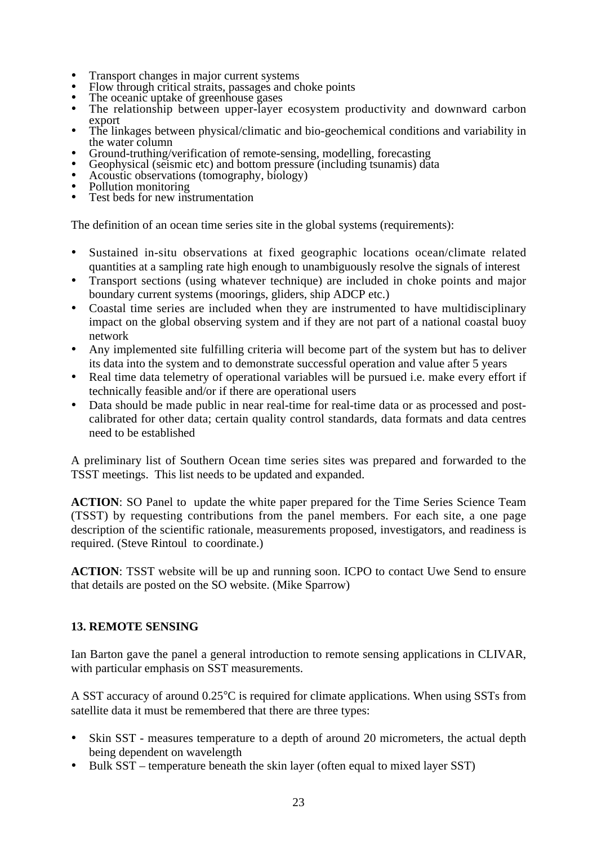- 
- 
- 
- Transport changes in major current systems<br>• Flow through critical straits, passages and choke points<br>• The oceanic uptake of greenhouse gases<br>• The relationship between upper-layer ecosystem productivity and downward ca export
- The linkages between physical/climatic and bio-geochemical conditions and variability in the water column<br>Ground-truthing/verification of remote-sensing, modelling, forecasting
- 
- Geophysical (seismic etc) and bottom pressure (including tsunamis) data<br>Acoustic observations (tomography, biology)<br>Pollution monitoring<br>Test beds for new instrumentation
- 
- 
- 

The definition of an ocean time series site in the global systems (requirements):

- Sustained in-situ observations at fixed geographic locations ocean/climate related quantities at a sampling rate high enough to unambiguously resolve the signals of interest
- Transport sections (using whatever technique) are included in choke points and major boundary current systems (moorings, gliders, ship ADCP etc.)
- Coastal time series are included when they are instrumented to have multidisciplinary impact on the global observing system and if they are not part of a national coastal buoy network
- Any implemented site fulfilling criteria will become part of the system but has to deliver its data into the system and to demonstrate successful operation and value after 5 years
- Real time data telemetry of operational variables will be pursued i.e. make every effort if technically feasible and/or if there are operational users
- Data should be made public in near real-time for real-time data or as processed and postcalibrated for other data; certain quality control standards, data formats and data centres need to be established

A preliminary list of Southern Ocean time series sites was prepared and forwarded to the TSST meetings. This list needs to be updated and expanded.

**ACTION**: SO Panel to update the white paper prepared for the Time Series Science Team (TSST) by requesting contributions from the panel members. For each site, a one page description of the scientific rationale, measurements proposed, investigators, and readiness is required. (Steve Rintoul to coordinate.)

**ACTION**: TSST website will be up and running soon. ICPO to contact Uwe Send to ensure that details are posted on the SO website. (Mike Sparrow)

#### **13. REMOTE SENSING**

Ian Barton gave the panel a general introduction to remote sensing applications in CLIVAR, with particular emphasis on SST measurements.

A SST accuracy of around 0.25°C is required for climate applications. When using SSTs from satellite data it must be remembered that there are three types:

- Skin SST measures temperature to a depth of around 20 micrometers, the actual depth being dependent on wavelength
- Bulk SST temperature beneath the skin layer (often equal to mixed layer SST)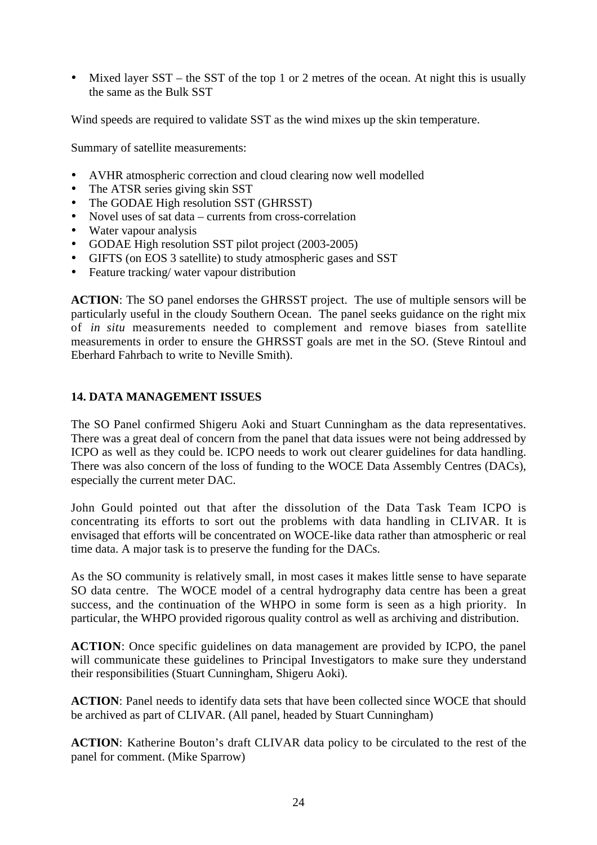• Mixed layer SST – the SST of the top 1 or 2 metres of the ocean. At night this is usually the same as the Bulk SST

Wind speeds are required to validate SST as the wind mixes up the skin temperature.

Summary of satellite measurements:

- AVHR atmospheric correction and cloud clearing now well modelled
- The ATSR series giving skin SST
- The GODAE High resolution SST (GHRSST)
- Novel uses of sat data currents from cross-correlation
- Water vapour analysis
- GODAE High resolution SST pilot project (2003-2005)
- GIFTS (on EOS 3 satellite) to study atmospheric gases and SST<br>• Feature tracking/water vapour distribution
- Feature tracking/ water vapour distribution

**ACTION**: The SO panel endorses the GHRSST project. The use of multiple sensors will be particularly useful in the cloudy Southern Ocean. The panel seeks guidance on the right mix of *in situ* measurements needed to complement and remove biases from satellite measurements in order to ensure the GHRSST goals are met in the SO. (Steve Rintoul and Eberhard Fahrbach to write to Neville Smith).

### **14. DATA MANAGEMENT ISSUES**

The SO Panel confirmed Shigeru Aoki and Stuart Cunningham as the data representatives. There was a great deal of concern from the panel that data issues were not being addressed by ICPO as well as they could be. ICPO needs to work out clearer guidelines for data handling. There was also concern of the loss of funding to the WOCE Data Assembly Centres (DACs), especially the current meter DAC.

John Gould pointed out that after the dissolution of the Data Task Team ICPO is concentrating its efforts to sort out the problems with data handling in CLIVAR. It is envisaged that efforts will be concentrated on WOCE-like data rather than atmospheric or real time data. A major task is to preserve the funding for the DACs.

As the SO community is relatively small, in most cases it makes little sense to have separate SO data centre. The WOCE model of a central hydrography data centre has been a great success, and the continuation of the WHPO in some form is seen as a high priority. In particular, the WHPO provided rigorous quality control as well as archiving and distribution.

**ACTION**: Once specific guidelines on data management are provided by ICPO, the panel will communicate these guidelines to Principal Investigators to make sure they understand their responsibilities (Stuart Cunningham, Shigeru Aoki).

**ACTION**: Panel needs to identify data sets that have been collected since WOCE that should be archived as part of CLIVAR. (All panel, headed by Stuart Cunningham)

**ACTION**: Katherine Bouton's draft CLIVAR data policy to be circulated to the rest of the panel for comment. (Mike Sparrow)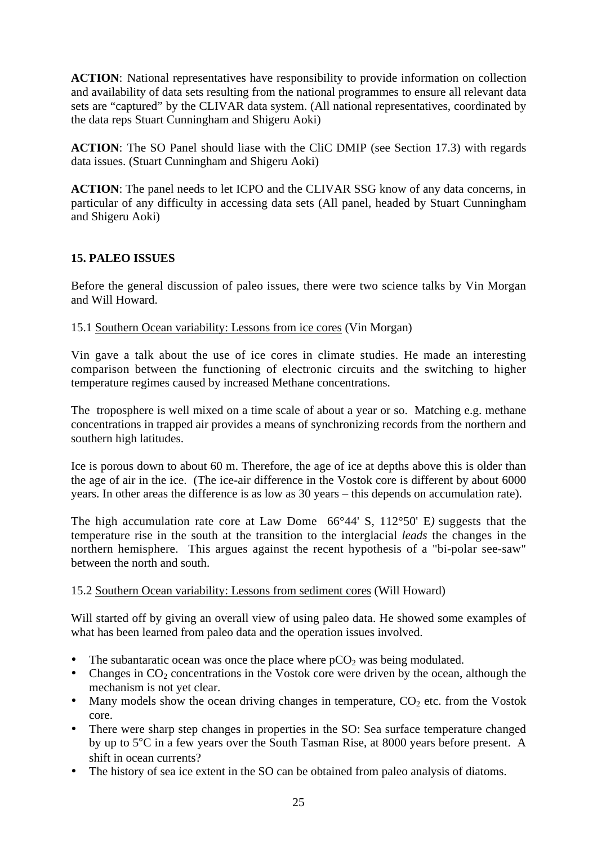**ACTION**: National representatives have responsibility to provide information on collection and availability of data sets resulting from the national programmes to ensure all relevant data sets are "captured" by the CLIVAR data system. (All national representatives, coordinated by the data reps Stuart Cunningham and Shigeru Aoki)

**ACTION**: The SO Panel should liase with the CliC DMIP (see Section 17.3) with regards data issues. (Stuart Cunningham and Shigeru Aoki)

**ACTION**: The panel needs to let ICPO and the CLIVAR SSG know of any data concerns, in particular of any difficulty in accessing data sets (All panel, headed by Stuart Cunningham and Shigeru Aoki)

# **15. PALEO ISSUES**

Before the general discussion of paleo issues, there were two science talks by Vin Morgan and Will Howard.

### 15.1 Southern Ocean variability: Lessons from ice cores (Vin Morgan)

Vin gave a talk about the use of ice cores in climate studies. He made an interesting comparison between the functioning of electronic circuits and the switching to higher temperature regimes caused by increased Methane concentrations.

The troposphere is well mixed on a time scale of about a year or so. Matching e.g. methane concentrations in trapped air provides a means of synchronizing records from the northern and southern high latitudes.

Ice is porous down to about 60 m. Therefore, the age of ice at depths above this is older than the age of air in the ice. (The ice-air difference in the Vostok core is different by about 6000 years. In other areas the difference is as low as 30 years – this depends on accumulation rate).

The high accumulation rate core at Law Dome 66°44' S, 112°50' E*)* suggests that the temperature rise in the south at the transition to the interglacial *leads* the changes in the northern hemisphere. This argues against the recent hypothesis of a "bi-polar see-saw" between the north and south.

#### 15.2 Southern Ocean variability: Lessons from sediment cores (Will Howard)

Will started off by giving an overall view of using paleo data. He showed some examples of what has been learned from paleo data and the operation issues involved.

- The subantaratic ocean was once the place where  $pCO<sub>2</sub>$  was being modulated.
- Changes in  $CO<sub>2</sub>$  concentrations in the Vostok core were driven by the ocean, although the mechanism is not yet clear.
- Many models show the ocean driving changes in temperature,  $CO<sub>2</sub>$  etc. from the Vostok core.
- There were sharp step changes in properties in the SO: Sea surface temperature changed by up to 5°C in a few years over the South Tasman Rise, at 8000 years before present. A shift in ocean currents?
- The history of sea ice extent in the SO can be obtained from paleo analysis of diatoms.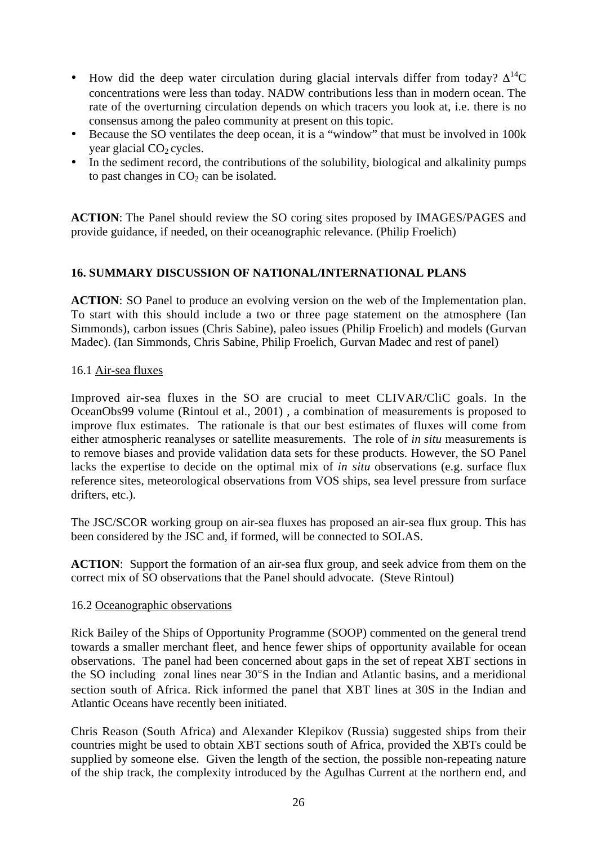- How did the deep water circulation during glacial intervals differ from today?  $\Delta^{14}C$ concentrations were less than today. NADW contributions less than in modern ocean. The rate of the overturning circulation depends on which tracers you look at, i.e. there is no consensus among the paleo community at present on this topic.
- Because the SO ventilates the deep ocean, it is a "window" that must be involved in 100k year glacial  $CO<sub>2</sub>$  cycles.
- In the sediment record, the contributions of the solubility, biological and alkalinity pumps to past changes in  $CO<sub>2</sub>$  can be isolated.

**ACTION**: The Panel should review the SO coring sites proposed by IMAGES/PAGES and provide guidance, if needed, on their oceanographic relevance. (Philip Froelich)

# **16. SUMMARY DISCUSSION OF NATIONAL/INTERNATIONAL PLANS**

**ACTION**: SO Panel to produce an evolving version on the web of the Implementation plan. To start with this should include a two or three page statement on the atmosphere (Ian Simmonds), carbon issues (Chris Sabine), paleo issues (Philip Froelich) and models (Gurvan Madec). (Ian Simmonds, Chris Sabine, Philip Froelich, Gurvan Madec and rest of panel)

### 16.1 Air-sea fluxes

Improved air-sea fluxes in the SO are crucial to meet CLIVAR/CliC goals. In the OceanObs99 volume (Rintoul et al., 2001) , a combination of measurements is proposed to improve flux estimates. The rationale is that our best estimates of fluxes will come from either atmospheric reanalyses or satellite measurements. The role of *in situ* measurements is to remove biases and provide validation data sets for these products. However, the SO Panel lacks the expertise to decide on the optimal mix of *in situ* observations (e.g. surface flux reference sites, meteorological observations from VOS ships, sea level pressure from surface drifters, etc.).

The JSC/SCOR working group on air-sea fluxes has proposed an air-sea flux group. This has been considered by the JSC and, if formed, will be connected to SOLAS.

**ACTION**: Support the formation of an air-sea flux group, and seek advice from them on the correct mix of SO observations that the Panel should advocate. (Steve Rintoul)

#### 16.2 Oceanographic observations

Rick Bailey of the Ships of Opportunity Programme (SOOP) commented on the general trend towards a smaller merchant fleet, and hence fewer ships of opportunity available for ocean observations. The panel had been concerned about gaps in the set of repeat XBT sections in the SO including zonal lines near 30°S in the Indian and Atlantic basins, and a meridional section south of Africa. Rick informed the panel that XBT lines at 30S in the Indian and Atlantic Oceans have recently been initiated.

Chris Reason (South Africa) and Alexander Klepikov (Russia) suggested ships from their countries might be used to obtain XBT sections south of Africa, provided the XBTs could be supplied by someone else. Given the length of the section, the possible non-repeating nature of the ship track, the complexity introduced by the Agulhas Current at the northern end, and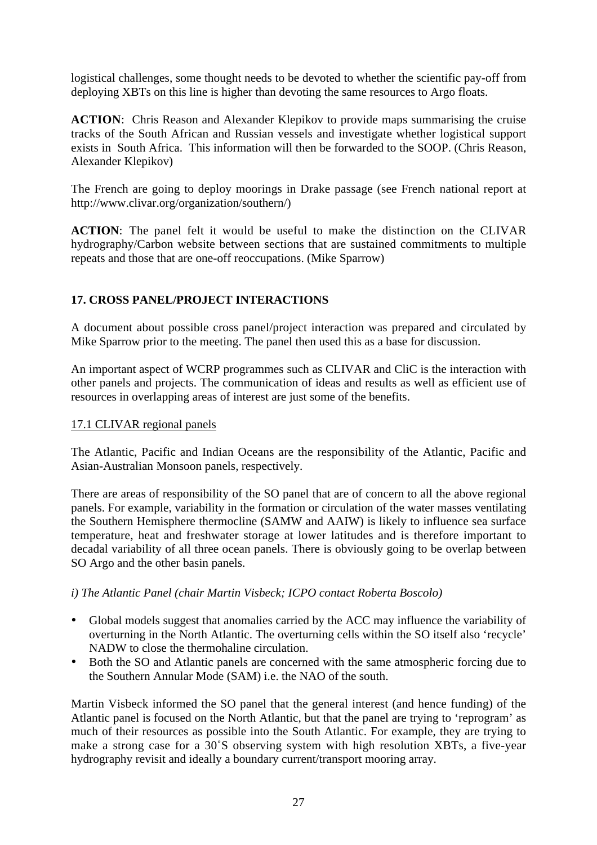logistical challenges, some thought needs to be devoted to whether the scientific pay-off from deploying XBTs on this line is higher than devoting the same resources to Argo floats.

**ACTION**: Chris Reason and Alexander Klepikov to provide maps summarising the cruise tracks of the South African and Russian vessels and investigate whether logistical support exists in South Africa. This information will then be forwarded to the SOOP. (Chris Reason, Alexander Klepikov)

The French are going to deploy moorings in Drake passage (see French national report at http://www.clivar.org/organization/southern/)

**ACTION**: The panel felt it would be useful to make the distinction on the CLIVAR hydrography/Carbon website between sections that are sustained commitments to multiple repeats and those that are one-off reoccupations. (Mike Sparrow)

# **17. CROSS PANEL/PROJECT INTERACTIONS**

A document about possible cross panel/project interaction was prepared and circulated by Mike Sparrow prior to the meeting. The panel then used this as a base for discussion.

An important aspect of WCRP programmes such as CLIVAR and CliC is the interaction with other panels and projects. The communication of ideas and results as well as efficient use of resources in overlapping areas of interest are just some of the benefits.

# 17.1 CLIVAR regional panels

The Atlantic, Pacific and Indian Oceans are the responsibility of the Atlantic, Pacific and Asian-Australian Monsoon panels, respectively.

There are areas of responsibility of the SO panel that are of concern to all the above regional panels. For example, variability in the formation or circulation of the water masses ventilating the Southern Hemisphere thermocline (SAMW and AAIW) is likely to influence sea surface temperature, heat and freshwater storage at lower latitudes and is therefore important to decadal variability of all three ocean panels. There is obviously going to be overlap between SO Argo and the other basin panels.

# *i) The Atlantic Panel (chair Martin Visbeck; ICPO contact Roberta Boscolo)*

- Global models suggest that anomalies carried by the ACC may influence the variability of overturning in the North Atlantic. The overturning cells within the SO itself also 'recycle' NADW to close the thermohaline circulation.
- Both the SO and Atlantic panels are concerned with the same atmospheric forcing due to the Southern Annular Mode (SAM) i.e. the NAO of the south.

Martin Visbeck informed the SO panel that the general interest (and hence funding) of the Atlantic panel is focused on the North Atlantic, but that the panel are trying to 'reprogram' as much of their resources as possible into the South Atlantic. For example, they are trying to make a strong case for a 30˚S observing system with high resolution XBTs, a five-year hydrography revisit and ideally a boundary current/transport mooring array.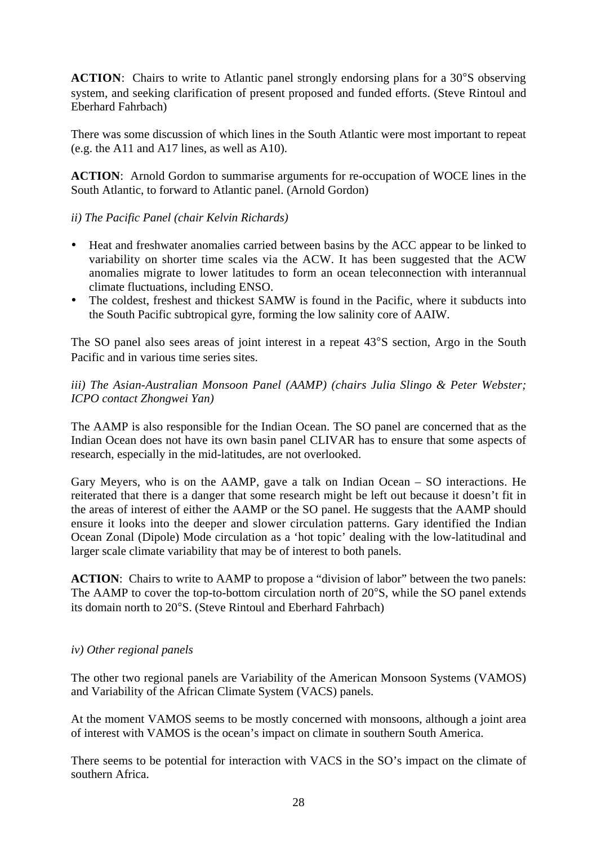**ACTION:** Chairs to write to Atlantic panel strongly endorsing plans for a 30°S observing system, and seeking clarification of present proposed and funded efforts. (Steve Rintoul and Eberhard Fahrbach)

There was some discussion of which lines in the South Atlantic were most important to repeat (e.g. the A11 and A17 lines, as well as A10).

**ACTION**: Arnold Gordon to summarise arguments for re-occupation of WOCE lines in the South Atlantic, to forward to Atlantic panel. (Arnold Gordon)

## *ii) The Pacific Panel (chair Kelvin Richards)*

- Heat and freshwater anomalies carried between basins by the ACC appear to be linked to variability on shorter time scales via the ACW. It has been suggested that the ACW anomalies migrate to lower latitudes to form an ocean teleconnection with interannual climate fluctuations, including ENSO.
- The coldest, freshest and thickest SAMW is found in the Pacific, where it subducts into the South Pacific subtropical gyre, forming the low salinity core of AAIW.

The SO panel also sees areas of joint interest in a repeat 43°S section, Argo in the South Pacific and in various time series sites.

# *iii) The Asian-Australian Monsoon Panel (AAMP) (chairs Julia Slingo & Peter Webster; ICPO contact Zhongwei Yan)*

The AAMP is also responsible for the Indian Ocean. The SO panel are concerned that as the Indian Ocean does not have its own basin panel CLIVAR has to ensure that some aspects of research, especially in the mid-latitudes, are not overlooked.

Gary Meyers, who is on the AAMP, gave a talk on Indian Ocean – SO interactions. He reiterated that there is a danger that some research might be left out because it doesn't fit in the areas of interest of either the AAMP or the SO panel. He suggests that the AAMP should ensure it looks into the deeper and slower circulation patterns. Gary identified the Indian Ocean Zonal (Dipole) Mode circulation as a 'hot topic' dealing with the low-latitudinal and larger scale climate variability that may be of interest to both panels.

**ACTION**: Chairs to write to AAMP to propose a "division of labor" between the two panels: The AAMP to cover the top-to-bottom circulation north of 20°S, while the SO panel extends its domain north to 20°S. (Steve Rintoul and Eberhard Fahrbach)

#### *iv) Other regional panels*

The other two regional panels are Variability of the American Monsoon Systems (VAMOS) and Variability of the African Climate System (VACS) panels.

At the moment VAMOS seems to be mostly concerned with monsoons, although a joint area of interest with VAMOS is the ocean's impact on climate in southern South America.

There seems to be potential for interaction with VACS in the SO's impact on the climate of southern Africa.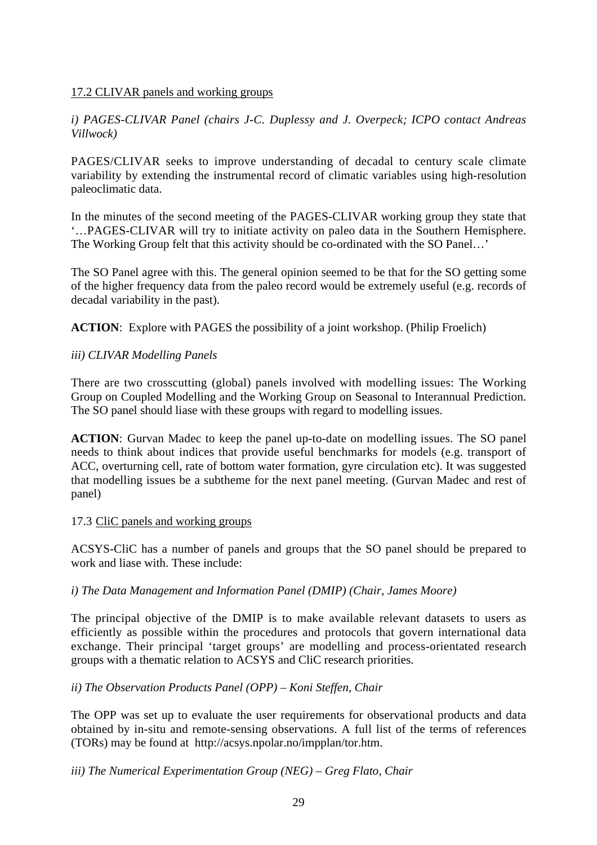## 17.2 CLIVAR panels and working groups

*i) PAGES-CLIVAR Panel (chairs J-C. Duplessy and J. Overpeck; ICPO contact Andreas Villwock)*

PAGES/CLIVAR seeks to improve understanding of decadal to century scale climate variability by extending the instrumental record of climatic variables using high-resolution paleoclimatic data.

In the minutes of the second meeting of the PAGES-CLIVAR working group they state that '…PAGES-CLIVAR will try to initiate activity on paleo data in the Southern Hemisphere. The Working Group felt that this activity should be co-ordinated with the SO Panel…'

The SO Panel agree with this. The general opinion seemed to be that for the SO getting some of the higher frequency data from the paleo record would be extremely useful (e.g. records of decadal variability in the past).

**ACTION:** Explore with PAGES the possibility of a joint workshop. (Philip Froelich)

### *iii) CLIVAR Modelling Panels*

There are two crosscutting (global) panels involved with modelling issues: The Working Group on Coupled Modelling and the Working Group on Seasonal to Interannual Prediction. The SO panel should liase with these groups with regard to modelling issues.

**ACTION**: Gurvan Madec to keep the panel up-to-date on modelling issues. The SO panel needs to think about indices that provide useful benchmarks for models (e.g. transport of ACC, overturning cell, rate of bottom water formation, gyre circulation etc). It was suggested that modelling issues be a subtheme for the next panel meeting. (Gurvan Madec and rest of panel)

#### 17.3 CliC panels and working groups

ACSYS-CliC has a number of panels and groups that the SO panel should be prepared to work and liase with. These include:

#### *i) The Data Management and Information Panel (DMIP) (Chair, James Moore)*

The principal objective of the DMIP is to make available relevant datasets to users as efficiently as possible within the procedures and protocols that govern international data exchange. Their principal 'target groups' are modelling and process-orientated research groups with a thematic relation to ACSYS and CliC research priorities.

# *ii) The Observation Products Panel (OPP) – Koni Steffen, Chair*

The OPP was set up to evaluate the user requirements for observational products and data obtained by in-situ and remote-sensing observations. A full list of the terms of references (TORs) may be found at http://acsys.npolar.no/impplan/tor.htm.

*iii) The Numerical Experimentation Group (NEG) – Greg Flato, Chair*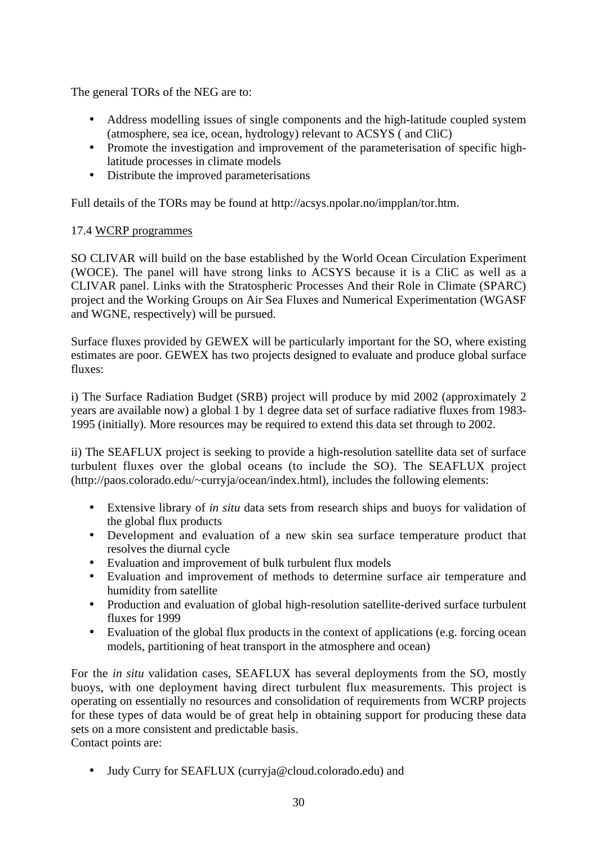The general TORs of the NEG are to:

- Address modelling issues of single components and the high-latitude coupled system (atmosphere, sea ice, ocean, hydrology) relevant to ACSYS ( and CliC)
- Promote the investigation and improvement of the parameterisation of specific highlatitude processes in climate models
- Distribute the improved parameterisations

Full details of the TORs may be found at http://acsys.npolar.no/impplan/tor.htm.

# 17.4 WCRP programmes

SO CLIVAR will build on the base established by the World Ocean Circulation Experiment (WOCE). The panel will have strong links to ACSYS because it is a CliC as well as a CLIVAR panel. Links with the Stratospheric Processes And their Role in Climate (SPARC) project and the Working Groups on Air Sea Fluxes and Numerical Experimentation (WGASF and WGNE, respectively) will be pursued.

Surface fluxes provided by GEWEX will be particularly important for the SO, where existing estimates are poor. GEWEX has two projects designed to evaluate and produce global surface fluxes:

i) The Surface Radiation Budget (SRB) project will produce by mid 2002 (approximately 2 years are available now) a global 1 by 1 degree data set of surface radiative fluxes from 1983- 1995 (initially). More resources may be required to extend this data set through to 2002.

ii) The SEAFLUX project is seeking to provide a high-resolution satellite data set of surface turbulent fluxes over the global oceans (to include the SO). The SEAFLUX project (http://paos.colorado.edu/~curryja/ocean/index.html), includes the following elements:

- Extensive library of *in situ* data sets from research ships and buoys for validation of the global flux products
- Development and evaluation of a new skin sea surface temperature product that resolves the diurnal cycle
- Evaluation and improvement of bulk turbulent flux models
- Evaluation and improvement of methods to determine surface air temperature and humidity from satellite
- Production and evaluation of global high-resolution satellite-derived surface turbulent fluxes for 1999
- Evaluation of the global flux products in the context of applications (e.g. forcing ocean models, partitioning of heat transport in the atmosphere and ocean)

For the *in situ* validation cases, SEAFLUX has several deployments from the SO, mostly buoys, with one deployment having direct turbulent flux measurements. This project is operating on essentially no resources and consolidation of requirements from WCRP projects for these types of data would be of great help in obtaining support for producing these data sets on a more consistent and predictable basis. Contact points are:

• Judy Curry for SEAFLUX (curryja@cloud.colorado.edu) and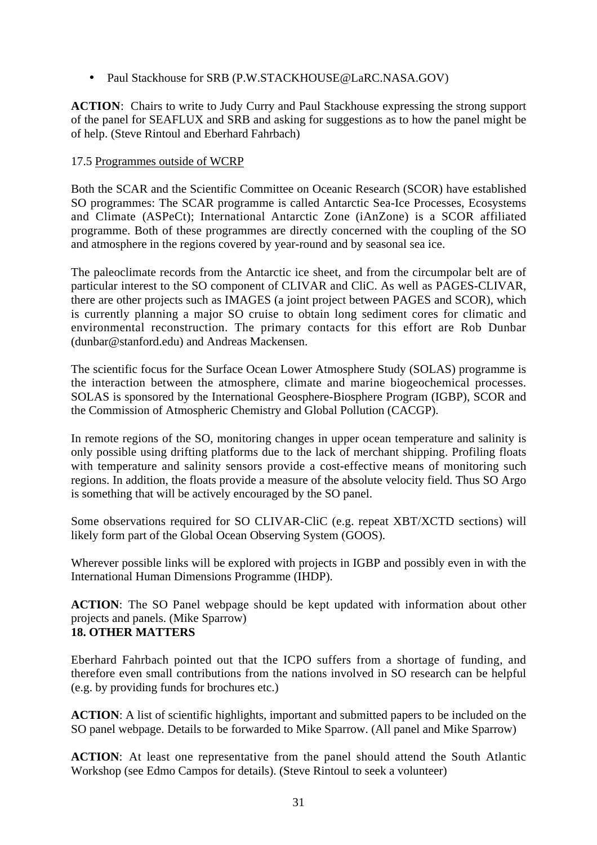• Paul Stackhouse for SRB (P.W.STACKHOUSE@LaRC.NASA.GOV)

**ACTION**: Chairs to write to Judy Curry and Paul Stackhouse expressing the strong support of the panel for SEAFLUX and SRB and asking for suggestions as to how the panel might be of help. (Steve Rintoul and Eberhard Fahrbach)

## 17.5 Programmes outside of WCRP

Both the SCAR and the Scientific Committee on Oceanic Research (SCOR) have established SO programmes: The SCAR programme is called Antarctic Sea-Ice Processes, Ecosystems and Climate (ASPeCt); International Antarctic Zone (iAnZone) is a SCOR affiliated programme. Both of these programmes are directly concerned with the coupling of the SO and atmosphere in the regions covered by year-round and by seasonal sea ice.

The paleoclimate records from the Antarctic ice sheet, and from the circumpolar belt are of particular interest to the SO component of CLIVAR and CliC. As well as PAGES-CLIVAR, there are other projects such as IMAGES (a joint project between PAGES and SCOR), which is currently planning a major SO cruise to obtain long sediment cores for climatic and environmental reconstruction. The primary contacts for this effort are Rob Dunbar (dunbar@stanford.edu) and Andreas Mackensen.

The scientific focus for the Surface Ocean Lower Atmosphere Study (SOLAS) programme is the interaction between the atmosphere, climate and marine biogeochemical processes. SOLAS is sponsored by the International Geosphere-Biosphere Program (IGBP), SCOR and the Commission of Atmospheric Chemistry and Global Pollution (CACGP).

In remote regions of the SO, monitoring changes in upper ocean temperature and salinity is only possible using drifting platforms due to the lack of merchant shipping. Profiling floats with temperature and salinity sensors provide a cost-effective means of monitoring such regions. In addition, the floats provide a measure of the absolute velocity field. Thus SO Argo is something that will be actively encouraged by the SO panel.

Some observations required for SO CLIVAR-CliC (e.g. repeat XBT/XCTD sections) will likely form part of the Global Ocean Observing System (GOOS).

Wherever possible links will be explored with projects in IGBP and possibly even in with the International Human Dimensions Programme (IHDP).

**ACTION**: The SO Panel webpage should be kept updated with information about other projects and panels. (Mike Sparrow) **18. OTHER MATTERS**

Eberhard Fahrbach pointed out that the ICPO suffers from a shortage of funding, and therefore even small contributions from the nations involved in SO research can be helpful (e.g. by providing funds for brochures etc.)

**ACTION**: A list of scientific highlights, important and submitted papers to be included on the SO panel webpage. Details to be forwarded to Mike Sparrow. (All panel and Mike Sparrow)

**ACTION**: At least one representative from the panel should attend the South Atlantic Workshop (see Edmo Campos for details). (Steve Rintoul to seek a volunteer)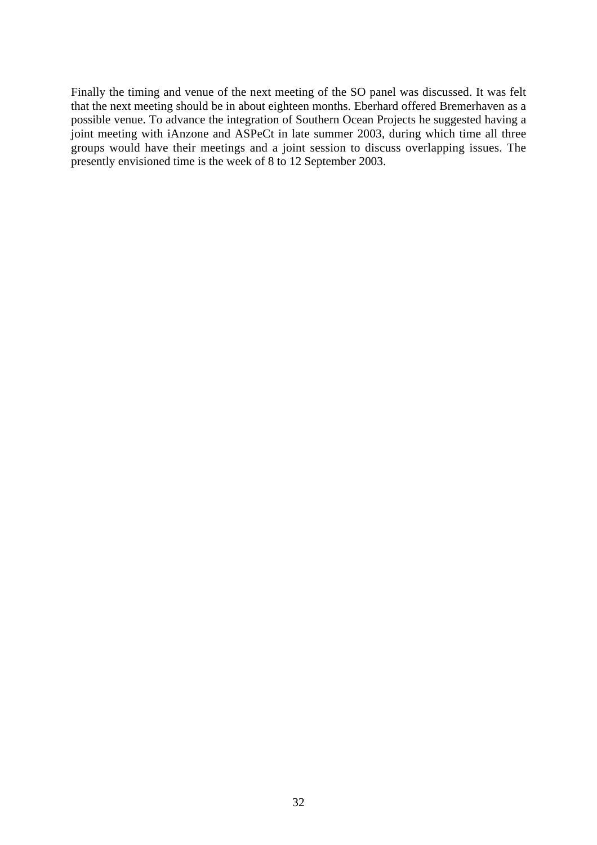Finally the timing and venue of the next meeting of the SO panel was discussed. It was felt that the next meeting should be in about eighteen months. Eberhard offered Bremerhaven as a possible venue. To advance the integration of Southern Ocean Projects he suggested having a joint meeting with iAnzone and ASPeCt in late summer 2003, during which time all three groups would have their meetings and a joint session to discuss overlapping issues. The presently envisioned time is the week of 8 to 12 September 2003.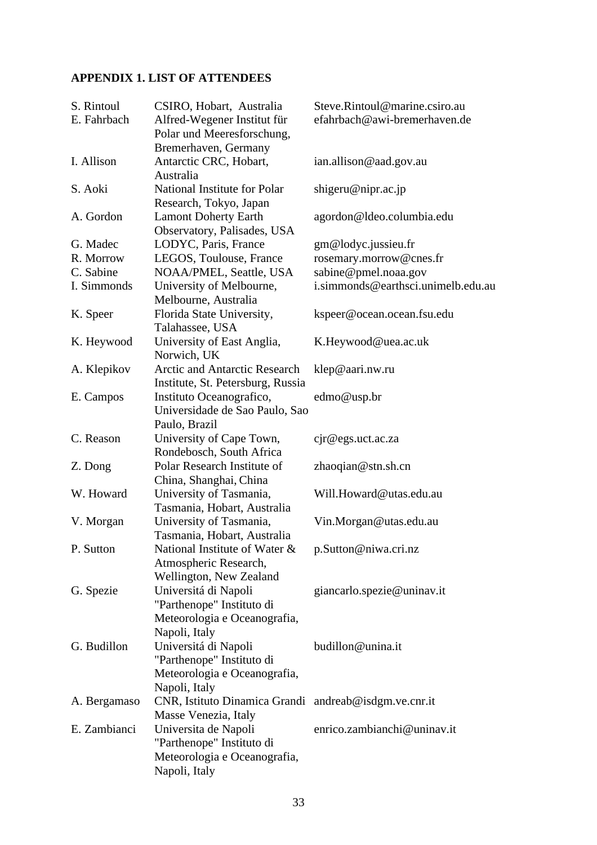# **APPENDIX 1. LIST OF ATTENDEES**

| S. Rintoul<br>E. Fahrbach | CSIRO, Hobart, Australia<br>Alfred-Wegener Institut für | Steve.Rintoul@marine.csiro.au<br>efahrbach@awi-bremerhaven.de |
|---------------------------|---------------------------------------------------------|---------------------------------------------------------------|
|                           | Polar und Meeresforschung,                              |                                                               |
|                           | Bremerhaven, Germany                                    |                                                               |
| I. Allison                | Antarctic CRC, Hobart,                                  | ian.allison@aad.gov.au                                        |
|                           | Australia                                               |                                                               |
| S. Aoki                   | National Institute for Polar<br>Research, Tokyo, Japan  | shigeru@nipr.ac.jp                                            |
| A. Gordon                 | <b>Lamont Doherty Earth</b>                             | agordon@ldeo.columbia.edu                                     |
|                           | Observatory, Palisades, USA                             |                                                               |
| G. Madec                  | LODYC, Paris, France                                    | gm@lodyc.jussieu.fr                                           |
| R. Morrow                 | LEGOS, Toulouse, France                                 | rosemary.morrow@cnes.fr                                       |
| C. Sabine                 | NOAA/PMEL, Seattle, USA                                 | sabine@pmel.noaa.gov                                          |
| I. Simmonds               | University of Melbourne,<br>Melbourne, Australia        | i.simmonds@earthsci.unimelb.edu.au                            |
| K. Speer                  | Florida State University,                               | kspeer@ocean.ocean.fsu.edu                                    |
|                           | Talahassee, USA                                         |                                                               |
| K. Heywood                | University of East Anglia,<br>Norwich, UK               | K.Heywood@uea.ac.uk                                           |
| A. Klepikov               | <b>Arctic and Antarctic Research</b>                    | klep@aari.nw.ru                                               |
|                           | Institute, St. Petersburg, Russia                       |                                                               |
| E. Campos                 | Instituto Oceanografico,                                | edmo@usp.br                                                   |
|                           | Universidade de Sao Paulo, Sao                          |                                                               |
|                           | Paulo, Brazil                                           |                                                               |
| C. Reason                 | University of Cape Town,                                | cjr@egs.uct.ac.za                                             |
|                           | Rondebosch, South Africa                                |                                                               |
| Z. Dong                   | Polar Research Institute of                             | zhaoqian@stn.sh.cn                                            |
|                           | China, Shanghai, China                                  |                                                               |
| W. Howard                 | University of Tasmania,                                 | Will.Howard@utas.edu.au                                       |
|                           | Tasmania, Hobart, Australia                             |                                                               |
| V. Morgan                 | University of Tasmania,                                 | Vin.Morgan@utas.edu.au                                        |
|                           | Tasmania, Hobart, Australia                             |                                                               |
| P. Sutton                 | National Institute of Water &                           | p.Sutton@niwa.cri.nz                                          |
|                           | Atmospheric Research,                                   |                                                               |
|                           | Wellington, New Zealand                                 |                                                               |
| G. Spezie                 | Universitá di Napoli                                    | giancarlo.spezie@uninav.it                                    |
|                           | "Parthenope" Instituto di                               |                                                               |
|                           | Meteorologia e Oceanografia,                            |                                                               |
|                           | Napoli, Italy                                           |                                                               |
| G. Budillon               | Universitá di Napoli                                    | budillon@unina.it                                             |
|                           | "Parthenope" Instituto di                               |                                                               |
|                           | Meteorologia e Oceanografia,                            |                                                               |
|                           | Napoli, Italy                                           |                                                               |
| A. Bergamaso              | CNR, Istituto Dinamica Grandi andreab@isdgm.ve.cnr.it   |                                                               |
|                           | Masse Venezia, Italy                                    |                                                               |
| E. Zambianci              | Universita de Napoli                                    | enrico.zambianchi@uninav.it                                   |
|                           | "Parthenope" Instituto di                               |                                                               |
|                           | Meteorologia e Oceanografia,                            |                                                               |
|                           | Napoli, Italy                                           |                                                               |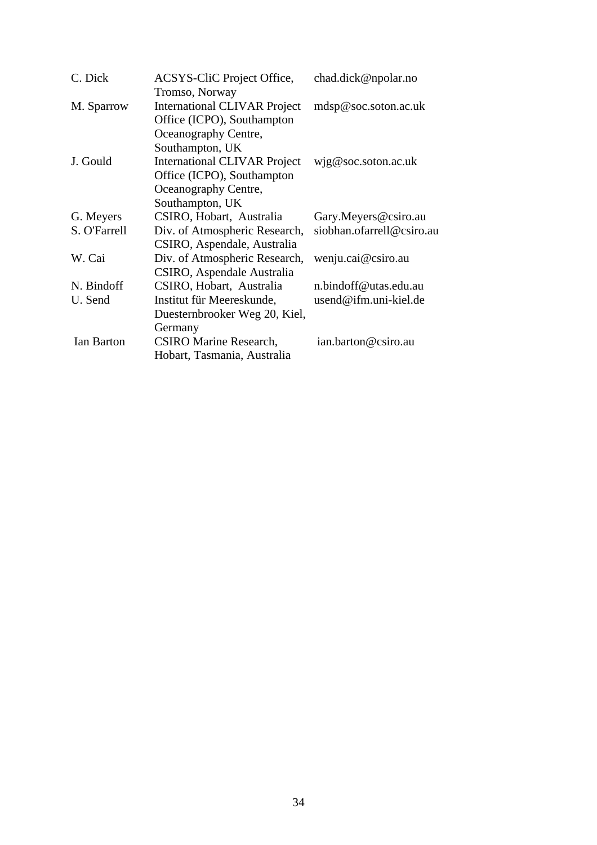| C. Dick      | ACSYS-CliC Project Office,          | chad.dick@npolar.no       |
|--------------|-------------------------------------|---------------------------|
|              | Tromso, Norway                      |                           |
| M. Sparrow   | <b>International CLIVAR Project</b> | mdsp@soc.soton.ac.uk      |
|              | Office (ICPO), Southampton          |                           |
|              | Oceanography Centre,                |                           |
|              | Southampton, UK                     |                           |
| J. Gould     | <b>International CLIVAR Project</b> | wig@soc.soton.ac.uk       |
|              | Office (ICPO), Southampton          |                           |
|              | Oceanography Centre,                |                           |
|              | Southampton, UK                     |                           |
| G. Meyers    | CSIRO, Hobart, Australia            | Gary.Meyers@csiro.au      |
| S. O'Farrell | Div. of Atmospheric Research,       | siobhan.ofarrell@csiro.au |
|              | CSIRO, Aspendale, Australia         |                           |
| W. Cai       | Div. of Atmospheric Research,       | wenju.cai@csiro.au        |
|              | CSIRO, Aspendale Australia          |                           |
| N. Bindoff   | CSIRO, Hobart, Australia            | n.bindoff@utas.edu.au     |
| U. Send      | Institut für Meereskunde,           | usend@ifm.uni-kiel.de     |
|              | Duesternbrooker Weg 20, Kiel,       |                           |
|              | Germany                             |                           |
| Ian Barton   | <b>CSIRO Marine Research,</b>       | ian.barton@csiro.au       |
|              | Hobart, Tasmania, Australia         |                           |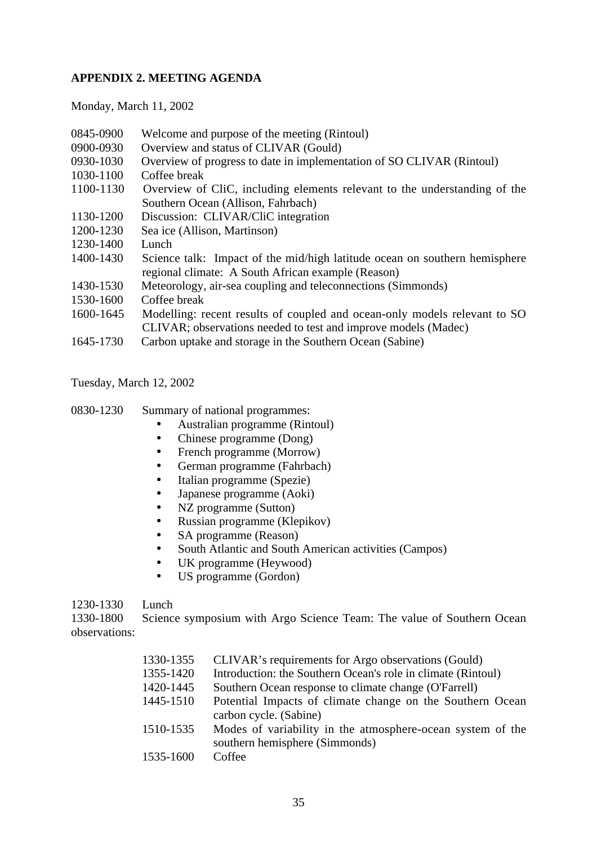# **APPENDIX 2. MEETING AGENDA**

Monday, March 11, 2002

| 0845-0900<br>0900-0930 | Welcome and purpose of the meeting (Rintoul)<br>Overview and status of CLIVAR (Gould)                                                       |
|------------------------|---------------------------------------------------------------------------------------------------------------------------------------------|
| 0930-1030              | Overview of progress to date in implementation of SO CLIVAR (Rintoul)                                                                       |
| 1030-1100              | Coffee break                                                                                                                                |
| 1100-1130              | Overview of CliC, including elements relevant to the understanding of the                                                                   |
|                        | Southern Ocean (Allison, Fahrbach)                                                                                                          |
| 1130-1200              | Discussion: CLIVAR/CliC integration                                                                                                         |
| 1200-1230              | Sea ice (Allison, Martinson)                                                                                                                |
| 1230-1400              | Lunch                                                                                                                                       |
| 1400-1430              | Science talk: Impact of the mid/high latitude ocean on southern hemisphere<br>regional climate: A South African example (Reason)            |
| 1430-1530              | Meteorology, air-sea coupling and teleconnections (Simmonds)                                                                                |
| 1530-1600              | Coffee break                                                                                                                                |
| 1600-1645              | Modelling: recent results of coupled and ocean-only models relevant to SO<br>CLIVAR; observations needed to test and improve models (Madec) |
| 1645-1730              | Carbon uptake and storage in the Southern Ocean (Sabine)                                                                                    |

Tuesday, March 12, 2002

0830-1230 Summary of national programmes:

- Australian programme (Rintoul)<br>• Chinese programme (Dong)
- Chinese programme (Dong)<br>• French programme (Morrow
- French programme (Morrow)<br>• German programme (Fahrbacl
- German programme (Fahrbach)<br>• Italian programme (Spezie)
- Italian programme (Spezie)<br>• Iananese programme (Aoki)
- Japanese programme (Aoki)
- NZ programme (Sutton)<br>• Russian programme (Kle
- Russian programme (Klepikov)
- SA programme (Reason)
- South Atlantic and South American activities (Campos)
- UK programme (Heywood)<br>• US programme (Gordon)
- US programme (Gordon)

#### 1230-1330 Lunch

1330-1800 Science symposium with Argo Science Team: The value of Southern Ocean observations:

| 1330-1355 | CLIVAR's requirements for Argo observations (Gould)          |
|-----------|--------------------------------------------------------------|
| 1355-1420 | Introduction: the Southern Ocean's role in climate (Rintoul) |
| 1420-1445 | Southern Ocean response to climate change (O'Farrell)        |
| 1445-1510 | Potential Impacts of climate change on the Southern Ocean    |
|           | carbon cycle. (Sabine)                                       |
| 1510-1535 | Modes of variability in the atmosphere-ocean system of the   |
|           | southern hemisphere (Simmonds)                               |
| 1535-1600 | Coffee                                                       |
|           |                                                              |